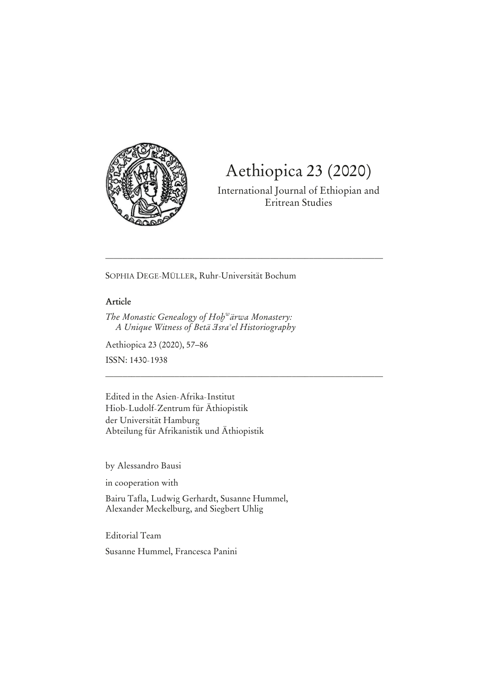

# Aethiopica 23 (2020)

International Journal of Ethiopian and Eritrean Studies

SOPHIA DEGE-MÜLLER, Ruhr-Universität Bochum

\_\_\_\_\_\_\_\_\_\_\_\_\_\_\_\_\_\_\_\_\_\_\_\_\_\_\_\_\_\_\_\_\_\_\_\_\_\_\_\_\_\_\_\_\_\_\_\_\_\_\_\_\_\_\_\_\_\_\_\_\_\_\_\_

\_\_\_\_\_\_\_\_\_\_\_\_\_\_\_\_\_\_\_\_\_\_\_\_\_\_\_\_\_\_\_\_\_\_\_\_\_\_\_\_\_\_\_\_\_\_\_\_\_\_\_\_\_\_\_\_\_\_\_\_\_\_\_\_

## **Article**

*The Monastic Genealogy of Hob<sup>w</sup>ärwa Monastery: A Unique Witness of Betà ŭsraʝel Historiography*

Aethiopica 23 (2020), 57-86

ISSN: 1430-1938

Edited in the Asien-Afrika-Institut Hiob-Ludolf-Zentrum für Äthiopistik der Universität Hamburg Abteilung für Afrikanistik und Äthiopistik

by Alessandro Bausi

in cooperation with

Bairu Tafla, Ludwig Gerhardt, Susanne Hummel, Alexander Meckelburg, and Siegbert Uhlig

Editorial Team

Susanne Hummel, Francesca Panini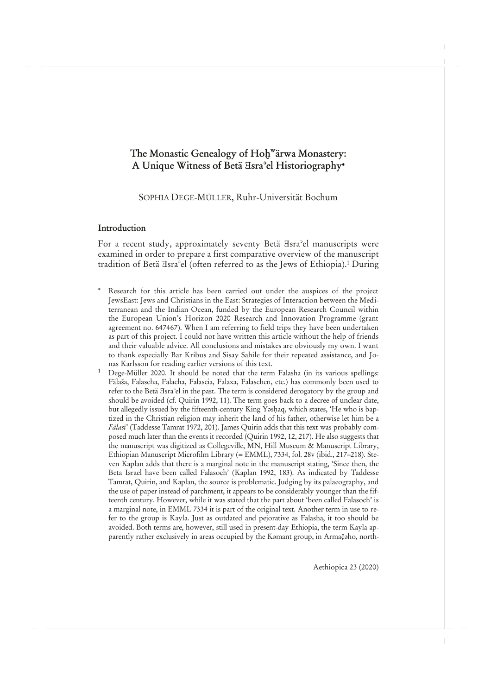## **The Monastic Genealogy of Hoḫ<sup>w</sup> ärwa Monastery: A Unique Witness of Betä Ǝsraʾel Historiography**

SOPHIA DEGE-MÜLLER, Ruhr-Universität Bochum

### **Introduction**

For a recent study, approximately seventy Betä Hsra<sup>2</sup>el manuscripts were examined in order to prepare a first comparative overview of the manuscript tradition of Betä Isra<sup>3</sup>el (often referred to as the Jews of Ethiopia).<sup>1</sup> During

- Research for this article has been carried out under the auspices of the project JewsEast: Jews and Christians in the East: Strategies of Interaction between the Mediterranean and the Indian Ocean, funded by the European Research Council within the European Union's Horizon 2020 Research and Innovation Programme (grant agreement no. 647467). When I am referring to field trips they have been undertaken as part of this project. I could not have written this article without the help of friends and their valuable advice. All conclusions and mistakes are obviously my own. I want to thank especially Bar Kribus and Sisay Sahile for their repeated assistance, and Jonas Karlsson for reading earlier versions of this text.
- <sup>1</sup> Dege-Müller 2020. It should be noted that the term Falasha (in its various spellings: Fälaša, Falascha, Falacha, Falascia, Falaxa, Falaschen, etc.) has commonly been used to refer to the Betä Ǝsraʾel in the past. The term is considered derogatory by the group and should be avoided (cf. Quirin 1992, 11). The term goes back to a decree of unclear date, but allegedly issued by the fifteenth-century King Yashaq, which states, 'He who is baptized in the Christian religion may inherit the land of his father, otherwise let him be a *Fälasī*' (Taddesse Tamrat 1972, 201). James Quirin adds that this text was probably composed much later than the events it recorded (Quirin 1992, 12, 217). He also suggests that the manuscript was digitized as Collegeville, MN, Hill Museum & Manuscript Library, Ethiopian Manuscript Microfilm Library (= EMML), 7334, fol. 28v (ibid., 217–218). Steven Kaplan adds that there is a marginal note in the manuscript stating, 'Since then, the Beta Israel have been called Falasoch' (Kaplan 1992, 183). As indicated by Taddesse Tamrat, Quirin, and Kaplan, the source is problematic. Judging by its palaeography, and the use of paper instead of parchment, it appears to be considerably younger than the fifteenth century. However, while it was stated that the part about 'been called Falasoch' is a marginal note, in EMML 7334 it is part of the original text. Another term in use to refer to the group is Kayla. Just as outdated and pejorative as Falasha, it too should be avoided. Both terms are, however, still used in present-day Ethiopia, the term Kayla apparently rather exclusively in areas occupied by the Kamant group, in Armačaho, north-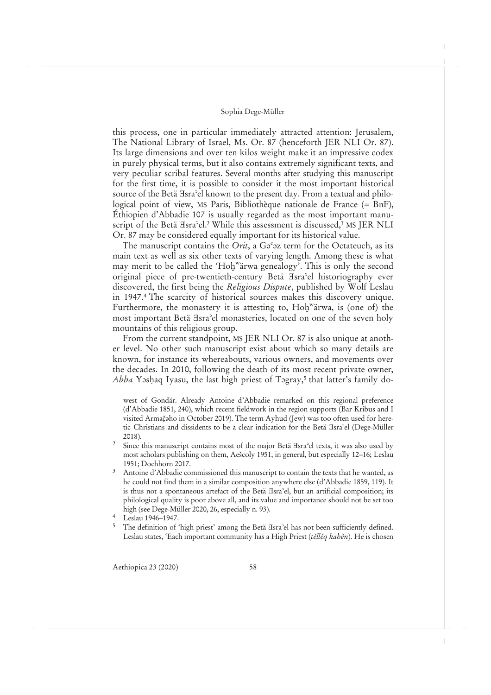this process, one in particular immediately attracted attention: Jerusalem, The National Library of Israel, Ms. Or. 87 (henceforth JER NLI Or. 87). Its large dimensions and over ten kilos weight make it an impressive codex in purely physical terms, but it also contains extremely significant texts, and very peculiar scribal features. Several months after studying this manuscript for the first time, it is possible to consider it the most important historical source of the Betä Isra<sup>o</sup>el known to the present day. From a textual and philological point of view, MS Paris, Bibliothèque nationale de France (= BnF), Éthiopien d'Abbadie 107 is usually regarded as the most important manuscript of the Betä  $\text{Isra}^{\circ}$ el.<sup>2</sup> While this assessment is discussed,<sup>3</sup> MS JER NLI Or. 87 may be considered equally important for its historical value.

The manuscript contains the *Orit*, a G<sup>°</sup> az term for the Octateuch, as its main text as well as six other texts of varying length. Among these is what may merit to be called the 'Hoḫ<sup>w</sup>ärwa genealogy'. This is only the second original piece of pre-twentieth-century Betä Ǝsraʾel historiography ever discovered, the first being the *Religious Dispute*, published by Wolf Leslau in 1947.<sup>4</sup> The scarcity of historical sources makes this discovery unique. Furthermore, the monastery it is attesting to, Hoḫ<sup>w</sup>ärwa, is (one of) the most important Betä Hsra<sup>2</sup>el monasteries, located on one of the seven holy mountains of this religious group.

From the current standpoint, MS JER NLI Or. 87 is also unique at another level. No other such manuscript exist about which so many details are known, for instance its whereabouts, various owners, and movements over the decades. In 2010, following the death of its most recent private owner, *Abba* Yəsḥaq Iyasu, the last high priest of Təgray,<sup>5</sup> that latter's family do-

west of Gondär. Already Antoine d'Abbadie remarked on this regional preference (d'Abbadie 1851, 240), which recent fieldwork in the region supports (Bar Kribus and I visited Armač̣ǝho in October 2019). The term Ayhud (Jew) was too often used for heretic Christians and dissidents to be a clear indication for the Betä Ǝsraʾel (Dege-Müller 2018).

- <sup>2</sup> Since this manuscript contains most of the major Betä <sup>H</sup>sra<sup>2</sup>el texts, it was also used by most scholars publishing on them, Aešcoly 1951, in general, but especially 12–16; Leslau 1951; Dochhorn 2017.
- <sup>3</sup> Antoine d'Abbadie commissioned this manuscript to contain the texts that he wanted, as he could not find them in a similar composition anywhere else (d'Abbadie 1859, 119). It is thus not a spontaneous artefact of the Betä  $\text{Isra}$ <sup>2</sup>el, but an artificial composition; its philological quality is poor above all, and its value and importance should not be set too high (see Dege-Müller 2020, 26, especially n. 93).
- <sup>4</sup> Leslau 1946–1947.
- <sup>5</sup> The definition of 'high priest' among the Betä <sup>H</sup>sra<sup>2</sup>el has not been sufficiently defined. Leslau states, 'Each important community has a High Priest (*těllěq kahěn*). He is chosen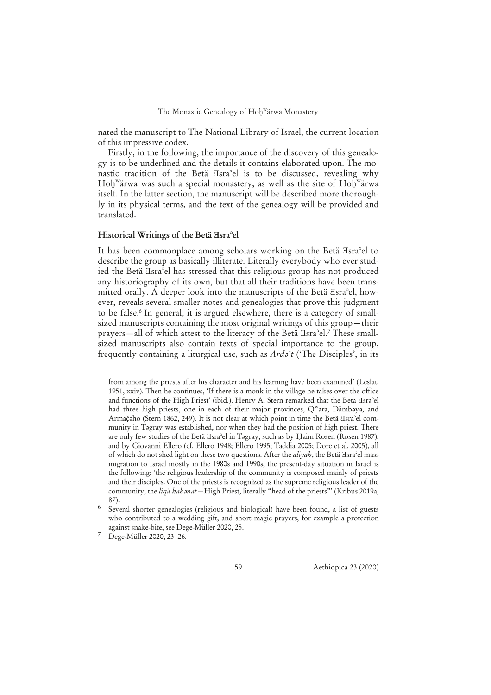nated the manuscript to The National Library of Israel, the current location of this impressive codex.

Firstly, in the following, the importance of the discovery of this genealogy is to be underlined and the details it contains elaborated upon. The monastic tradition of the Betä *Hsra*<sup>2</sup>el is to be discussed, revealing why Hoḫʷärwa was such a special monastery, as well as the site of  $\text{Hol}^{\mathrm{w}}$ ärwa itself. In the latter section, the manuscript will be described more thoroughly in its physical terms, and the text of the genealogy will be provided and translated.

## **Historical Writings of the Betä Ǝsraʾel**

It has been commonplace among scholars working on the Betä Hsra<sup>3</sup>el to describe the group as basically illiterate. Literally everybody who ever studied the Betä Isra<sup>3</sup>el has stressed that this religious group has not produced any historiography of its own, but that all their traditions have been transmitted orally. A deeper look into the manuscripts of the Betä Isra<sup>3</sup>el, however, reveals several smaller notes and genealogies that prove this judgment to be false.<sup>6</sup> In general, it is argued elsewhere, there is a category of smallsized manuscripts containing the most original writings of this group—their prayers—all of which attest to the literacy of the Betä Isra'el.<sup>7</sup> These smallsized manuscripts also contain texts of special importance to the group, frequently containing a liturgical use, such as *Ardǝʾt* ('The Disciples', in its

from among the priests after his character and his learning have been examined' (Leslau 1951, xxiv). Then he continues, 'If there is a monk in the village he takes over the office and functions of the High Priest' (ibid.). Henry A. Stern remarked that the Betä *Asra*°el had three high priests, one in each of their major provinces, Q<sup>w</sup>ara, Dämbəya, and Armač $\beta$ ho (Stern 1862, 249). It is not clear at which point in time the Betä Esra $\alpha$ el community in Tǝgray was established, nor when they had the position of high priest. There are only few studies of the Betä Ǝsraʾel in Tǝgray, such as by Ḥaim Rosen (Rosen 1987), and by Giovanni Ellero (cf. Ellero 1948; Ellero 1995; Taddia 2005; Dore et al. 2005), all of which do not shed light on these two questions. After the *aliyah*, the Betä Isra<sup>3</sup>el mass migration to Israel mostly in the 1980s and 1990s, the present-day situation in Israel is the following: 'the religious leadership of the community is composed mainly of priests and their disciples. One of the priests is recognized as the supreme religious leader of the community, the *liqä kahanat*—High Priest, literally "head of the priests"' (Kribus 2019a, 87).

- <sup>6</sup> Several shorter genealogies (religious and biological) have been found, a list of guests who contributed to a wedding gift, and short magic prayers, for example a protection against snake-bite, see Dege-Müller 2020, 25.
- <sup>7</sup> Dege-Müller 2020, 23–26.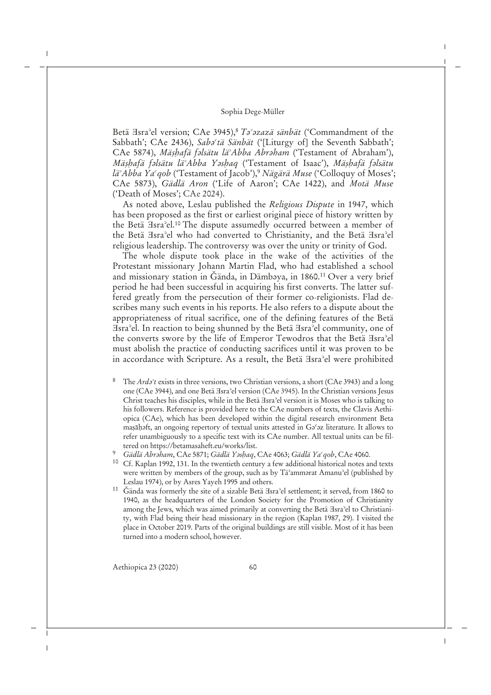Betä ∃sra<sup>°</sup>el version; CAe 3945),<sup>8</sup> *Ta<sup>°</sup>azazä sänbät* ('Commandment of the Sabbath'; CAe 2436), *Saba<sup>c</sup>tä Sänbät* ('[Liturgy of] the Seventh Sabbath'; CAe 5874), *Mäṣḥafä fǝlsätu läʾAbba Abrǝham* ('Testament of Abraham'), *Mäṣḥafä fǝlsätu läʾAbba Yǝsḥaq* ('Testament of Isaac'), *Mäṣḥafä fǝlsätu läʾAbba Yaʿqob* ('Testament of Jacob'),<sup>9</sup> *Nägärä Muse* ('Colloquy of Moses'; CAe 5873), *Gädlä Aron* ('Life of Aaron'; CAe 1422), and *Motä Muse* ('Death of Moses'; CAe 2024).

As noted above, Leslau published the *Religious Dispute* in 1947, which has been proposed as the first or earliest original piece of history written by the Betä Ǝsraʾel.<sup>10</sup> The dispute assumedly occurred between a member of the Betä Isra<sup>3</sup>el who had converted to Christianity, and the Betä Isra<sup>3</sup>el religious leadership. The controversy was over the unity or trinity of God.

The whole dispute took place in the wake of the activities of the Protestant missionary Johann Martin Flad, who had established a school and missionary station in Gända, in Dämbəya, in 1860.<sup>11</sup> Over a very brief period he had been successful in acquiring his first converts. The latter suffered greatly from the persecution of their former co-religionists. Flad describes many such events in his reports. He also refers to a dispute about the appropriateness of ritual sacrifice, one of the defining features of the Betä Ǝsraʾel. In reaction to being shunned by the Betä Ǝsraʾel community, one of the converts swore by the life of Emperor Tewodros that the Betä Hsra'el must abolish the practice of conducting sacrifices until it was proven to be in accordance with Scripture. As a result, the Betä Hsra<sup>2</sup>el were prohibited

- The *Ard* $\partial^2 t$  exists in three versions, two Christian versions, a short (CAe 3943) and a long one (CAe 3944), and one Betä Ǝsraʾel version (CAe 3945). In the Christian versions Jesus Christ teaches his disciples, while in the Betä Ǝsraʾel version it is Moses who is talking to his followers. Reference is provided here to the CAe numbers of texts, the Clavis Aethiopica (CAe), which has been developed within the digital research environment Beta maṣāḥǝft, an ongoing repertory of textual units attested in Gǝʿǝz literature. It allows to refer unambiguously to a specific text with its CAe number. All textual units can be filtered on https://betamasaheft.eu/works/list.
- <sup>9</sup> *Gädlä Abrǝham*, CAe 5871; *Gädlä Yǝsḥaq*, CAe 4063; *Gädlä Yaʿqob*, CAe 4060.
- <sup>10</sup> Cf. Kaplan 1992, 131. In the twentieth century a few additional historical notes and texts were written by members of the group, such as by Tä<sup>2</sup>ammarat Amanu<sup>2</sup>el (published by Leslau 1974), or by Asres Yayeh 1995 and others.
- <sup>11</sup> Gända was formerly the site of a sizable Betä <sup>H</sup>sra<sup>2</sup>el settlement; it served, from 1860 to 1940, as the headquarters of the London Society for the Promotion of Christianity among the Jews, which was aimed primarily at converting the Betä  $\exists s$ ra<sup>3</sup>el to Christianity, with Flad being their head missionary in the region (Kaplan 1987, 29). I visited the place in October 2019. Parts of the original buildings are still visible. Most of it has been turned into a modern school, however.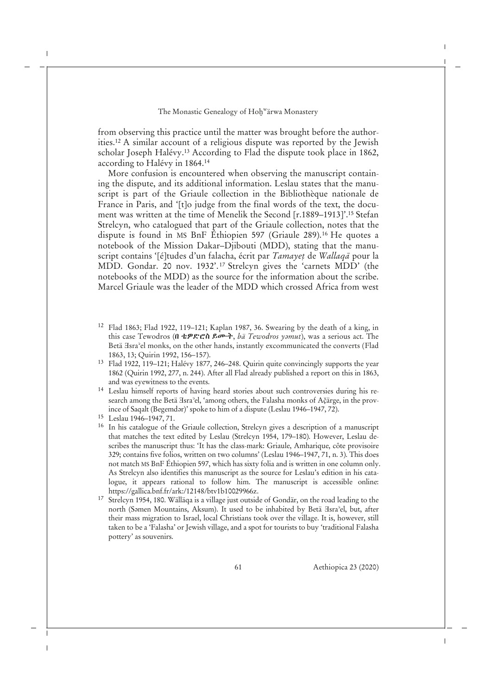from observing this practice until the matter was brought before the authorities.<sup>12</sup> A similar account of a religious dispute was reported by the Jewish scholar Joseph Halévy.<sup>13</sup> According to Flad the dispute took place in 1862, according to Halévy in 1864.<sup>14</sup>

More confusion is encountered when observing the manuscript containing the dispute, and its additional information. Leslau states that the manuscript is part of the Griaule collection in the Bibliothèque nationale de France in Paris, and '[t]o judge from the final words of the text, the document was written at the time of Menelik the Second [r.1889–1913]'.<sup>15</sup> Stefan Strelcyn, who catalogued that part of the Griaule collection, notes that the dispute is found in MS BnF Éthiopien 597 (Griaule 289).<sup>16</sup> He quotes a notebook of the Mission Dakar–Djibouti (MDD), stating that the manuscript contains '[é]tudes d'un falacha, écrit par *Tamayeṭ* de *Wallaqā* pour la MDD. Gondar. 20 nov. 1932'. <sup>17</sup> Strelcyn gives the 'carnets MDD' (the notebooks of the MDD) as the source for the information about the scribe. Marcel Griaule was the leader of the MDD which crossed Africa from west

- <sup>12</sup> Flad 1863; Flad 1922, 119–121; Kaplan 1987, 36. Swearing by the death of a king, in this case Tewodros (በ ቴዎድሮስ ይሙት, *bä Tewodros yǝmut*), was a serious act. The Betä Hsra<sup>3</sup>el monks, on the other hands, instantly excommunicated the converts (Flad 1863, 13; Quirin 1992, 156–157).
- <sup>13</sup> Flad 1922, 119–121; Halévy 1877, 246–248. Quirin quite convincingly supports the year 1862 (Quirin 1992, 277, n. 244). After all Flad already published a report on this in 1863, and was eyewitness to the events.
- <sup>14</sup> Leslau himself reports of having heard stories about such controversies during his research among the Betä <sub>H</sub>sra<sup>3</sup>el, 'among others, the Falasha monks of Ačarge, in the province of Saqalt (Begemdər)' spoke to him of a dispute (Leslau 1946–1947, 72).
- <sup>15</sup> Leslau 1946–1947, 71.
- <sup>16</sup> In his catalogue of the Griaule collection, Strelcyn gives a description of a manuscript that matches the text edited by Leslau (Strelcyn 1954, 179–180). However, Leslau describes the manuscript thus: 'It has the class-mark: Griaule, Amharique, côte provisoire 329; contains five folios, written on two columns' (Leslau 1946–1947, 71, n. 3). This does not match MS BnF Éthiopien 597, which has sixty folia and is written in one column only. As Strelcyn also identifies this manuscript as the source for Leslau's edition in his catalogue, it appears rational to follow him. The manuscript is accessible online: https://gallica.bnf.fr/ark:/12148/btv1b10029966z.
- <sup>17</sup> Strelcyn 1954, 180. Wälläqa is a village just outside of Gondär, on the road leading to the north (Səmen Mountains, Aksum). It used to be inhabited by Betä Esra<sup>3</sup>el, but, after their mass migration to Israel, local Christians took over the village. It is, however, still taken to be a 'Falasha' or Jewish village, and a spot for tourists to buy 'traditional Falasha pottery' as souvenirs.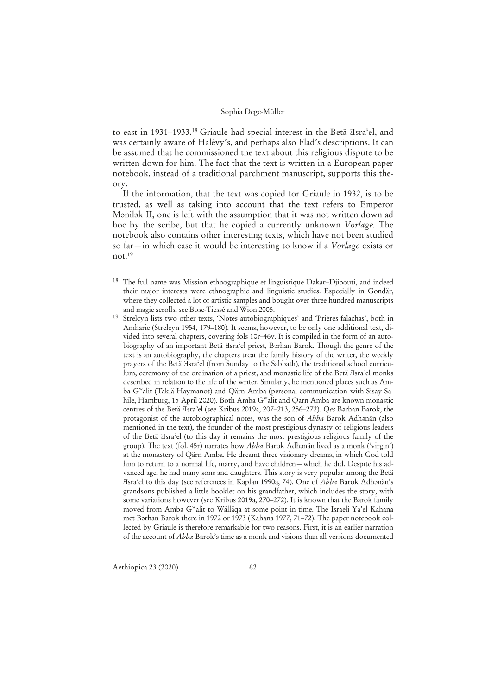to east in 1931–1933.<sup>18</sup> Griaule had special interest in the Betä Esra<sup>o</sup>el, and was certainly aware of Halévy's, and perhaps also Flad's descriptions. It can be assumed that he commissioned the text about this religious dispute to be written down for him. The fact that the text is written in a European paper notebook, instead of a traditional parchment manuscript, supports this theory.

If the information, that the text was copied for Griaule in 1932, is to be trusted, as well as taking into account that the text refers to Emperor Mənilək II, one is left with the assumption that it was not written down ad hoc by the scribe, but that he copied a currently unknown *Vorlage.* The notebook also contains other interesting texts, which have not been studied so far—in which case it would be interesting to know if a *Vorlage* exists or not.<sup>19</sup>

- <sup>18</sup> The full name was Mission ethnographique et linguistique Dakar–Djibouti, and indeed their major interests were ethnographic and linguistic studies. Especially in Gondär, where they collected a lot of artistic samples and bought over three hundred manuscripts and magic scrolls, see Bosc-Tiessé and Wion 2005.
- <sup>19</sup> Strelcyn lists two other texts, 'Notes autobiographiques' and 'Prières falachas', both in Amharic (Strelcyn 1954, 179–180). It seems, however, to be only one additional text, divided into several chapters, covering fols 10r–46v. It is compiled in the form of an autobiography of an important Betä *Hsra*<sup>2</sup>el priest, Barhan Barok. Though the genre of the text is an autobiography, the chapters treat the family history of the writer, the weekly prayers of the Betä Hsra'el (from Sunday to the Sabbath), the traditional school curriculum, ceremony of the ordination of a priest, and monastic life of the Betä Esra<sup>3</sup>el monks described in relation to the life of the writer. Similarly, he mentioned places such as Amba G<sup>w</sup> alit (Täklä Haymanot) and Qärn Amba (personal communication with Sisay Sahile, Hamburg, 15 April 2020). Both Amba G<sup>w</sup>alit and Qärn Amba are known monastic centres of the Betä Ǝsraʾel (see Kribus 2019a, 207–213, 256–272). *Qes* Bǝrhan Barok, the protagonist of the autobiographical notes, was the son of *Abba* Barok Adhǝnän (also mentioned in the text), the founder of the most prestigious dynasty of religious leaders of the Betä Ǝsraʾel (to this day it remains the most prestigious religious family of the group). The text (fol. 45r) narrates how *Abba* Barok Adhənän lived as a monk ('virgin') at the monastery of Qärn Amba. He dreamt three visionary dreams, in which God told him to return to a normal life, marry, and have children—which he did. Despite his advanced age, he had many sons and daughters. This story is very popular among the Betä Ǝsraʾel to this day (see references in Kaplan 1990a, 74). One of *Abba* Barok Adhǝnän's grandsons published a little booklet on his grandfather, which includes the story, with some variations however (see Kribus 2019a, 270–272). It is known that the Barok family moved from Amba G<sup>w</sup>alit to Wälläqa at some point in time. The Israeli Ya'el Kahana met Bǝrhan Barok there in 1972 or 1973 (Kahana 1977, 71–72). The paper notebook collected by Griaule is therefore remarkable for two reasons. First, it is an earlier narration of the account of *Abba* Barok's time as a monk and visions than all versions documented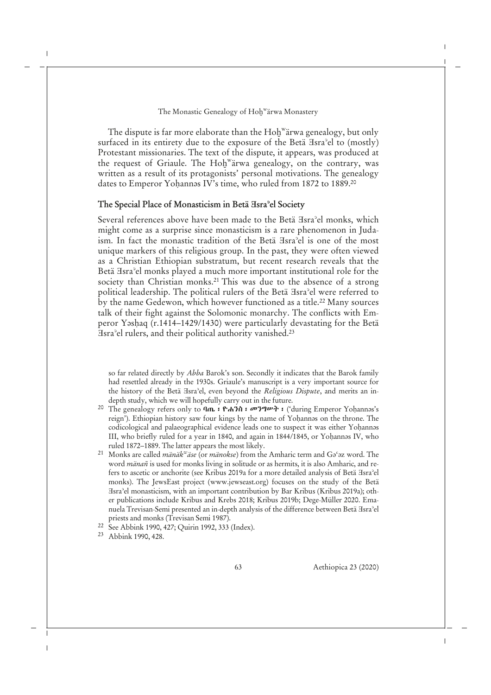The dispute is far more elaborate than the  $\text{Hol}^{\text{w}}$ ärwa genealogy, but only surfaced in its entirety due to the exposure of the Betä  $\text{Isra}^{\circ}$ el to (mostly) Protestant missionaries. The text of the dispute, it appears, was produced at the request of Griaule. The Hoḫ<sup>w</sup>ärwa genealogy, on the contrary, was written as a result of its protagonists' personal motivations. The genealogy dates to Emperor Yohannəs IV's time, who ruled from 1872 to 1889.<sup>20</sup>

## **The Special Place of Monasticism in Betä Ǝsraʾel Society**

Several references above have been made to the Betä Hsra<sup>3</sup>el monks, which might come as a surprise since monasticism is a rare phenomenon in Judaism. In fact the monastic tradition of the Betä Hsra<sup>2</sup>el is one of the most unique markers of this religious group. In the past, they were often viewed as a Christian Ethiopian substratum, but recent research reveals that the Betä Hsra<sup>2</sup>el monks played a much more important institutional role for the society than Christian monks.<sup>21</sup> This was due to the absence of a strong political leadership. The political rulers of the Betä Hsra<sup>2</sup>el were referred to by the name Gedewon, which however functioned as a title.<sup>22</sup> Many sources talk of their fight against the Solomonic monarchy. The conflicts with Emperor Yǝsḥaq (r.1414–1429/1430) were particularly devastating for the Betä Ǝsraʾel rulers, and their political authority vanished.<sup>23</sup>

so far related directly by *Abba* Barok's son. Secondly it indicates that the Barok family had resettled already in the 1930s. Griaule's manuscript is a very important source for the history of the Betä *Hsra*<sup>2</sup>el, even beyond the *Religious Dispute*, and merits an indepth study, which we will hopefully carry out in the future.

- <sup>20</sup> The genealogy refers only to ባጤ ፡ ዮሐንስ ፡ መንግሥት ፡ ('during Emperor Yohannas's reign'). Ethiopian history saw four kings by the name of Yohannəs on the throne. The codicological and palaeographical evidence leads one to suspect it was either Yoḥannǝs III, who briefly ruled for a year in 1840, and again in 1844/1845, or Yohannəs IV, who ruled 1872–1889. The latter appears the most likely.
- <sup>21</sup> Monks are called *mänäk<sup>w</sup> äse* (or *mänokse*) from the Amharic term and Gǝʿǝz word. The word *mänan* is used for monks living in solitude or as hermits, it is also Amharic, and refers to ascetic or anchorite (see Kribus 2019a for a more detailed analysis of Betä Esra<sup>3</sup>el monks). The JewsEast project (www.jewseast.org) focuses on the study of the Betä Ǝsraʾel monasticism, with an important contribution by Bar Kribus (Kribus 2019a); other publications include Kribus and Krebs 2018; Kribus 2019b; Dege-Müller 2020. Emanuela Trevisan-Semi presented an in-depth analysis of the difference between Betä Ǝsraʾel priests and monks (Trevisan Semi 1987).
- <sup>22</sup> See Abbink 1990, 427; Quirin 1992, 333 (Index).
- <sup>23</sup> Abbink 1990, 428.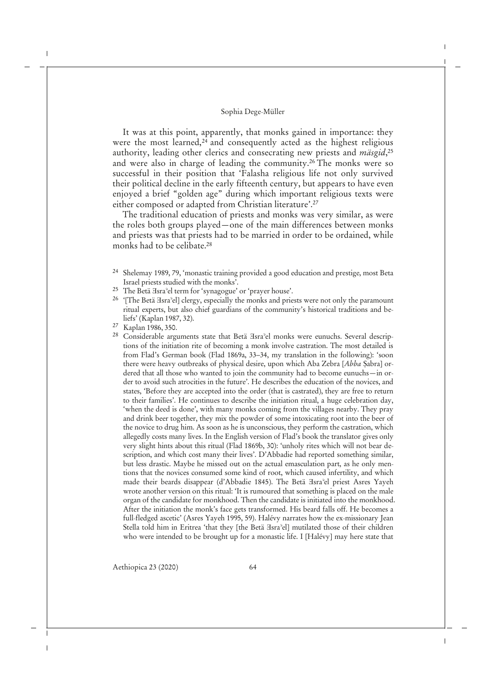It was at this point, apparently, that monks gained in importance: they were the most learned,<sup>24</sup> and consequently acted as the highest religious authority, leading other clerics and consecrating new priests and *mäsgid*, 25 and were also in charge of leading the community.<sup>26</sup> The monks were so successful in their position that 'Falasha religious life not only survived their political decline in the early fifteenth century, but appears to have even enjoyed a brief "golden age" during which important religious texts were either composed or adapted from Christian literature'.<sup>27</sup>

The traditional education of priests and monks was very similar, as were the roles both groups played—one of the main differences between monks and priests was that priests had to be married in order to be ordained, while monks had to be celibate.<sup>28</sup>

- <sup>24</sup> Shelemay 1989, 79, 'monastic training provided a good education and prestige, most Beta Israel priests studied with the monks'.
- <sup>25</sup> The Betä <sub>H</sub>sra<sup>2</sup>el term for 'synagogue' or 'prayer house'.
- <sup>26</sup> '[The Betä <sup>H</sup>sra<sup>2</sup>el] clergy, especially the monks and priests were not only the paramount ritual experts, but also chief guardians of the community's historical traditions and beliefs' (Kaplan 1987, 32).
- <sup>27</sup> Kaplan 1986, 350.
- <sup>28</sup> Considerable arguments state that Betä *Hsra*<sup>2</sup>el monks were eunuchs. Several descriptions of the initiation rite of becoming a monk involve castration. The most detailed is from Flad's German book (Flad 1869a, 33–34, my translation in the following): 'soon there were heavy outbreaks of physical desire, upon which Aba Zebra [*Abba* Ṣabra] ordered that all those who wanted to join the community had to become eunuchs—in order to avoid such atrocities in the future'. He describes the education of the novices, and states, 'Before they are accepted into the order (that is castrated), they are free to return to their families'. He continues to describe the initiation ritual, a huge celebration day, 'when the deed is done', with many monks coming from the villages nearby. They pray and drink beer together, they mix the powder of some intoxicating root into the beer of the novice to drug him. As soon as he is unconscious, they perform the castration, which allegedly costs many lives. In the English version of Flad's book the translator gives only very slight hints about this ritual (Flad 1869b, 30): 'unholy rites which will not bear description, and which cost many their lives'. D'Abbadie had reported something similar, but less drastic. Maybe he missed out on the actual emasculation part, as he only mentions that the novices consumed some kind of root, which caused infertility, and which made their beards disappear (d'Abbadie 1845). The Betä Esra<sup>3</sup>el priest Asres Yayeh wrote another version on this ritual: 'It is rumoured that something is placed on the male organ of the candidate for monkhood. Then the candidate is initiated into the monkhood. After the initiation the monk's face gets transformed. His beard falls off. He becomes a full-fledged ascetic' (Asres Yayeh 1995, 59). Halévy narrates how the ex-missionary Jean Stella told him in Eritrea 'that they [the Betä ∃sra<sup>3</sup>el] mutilated those of their children who were intended to be brought up for a monastic life. I [Halévy] may here state that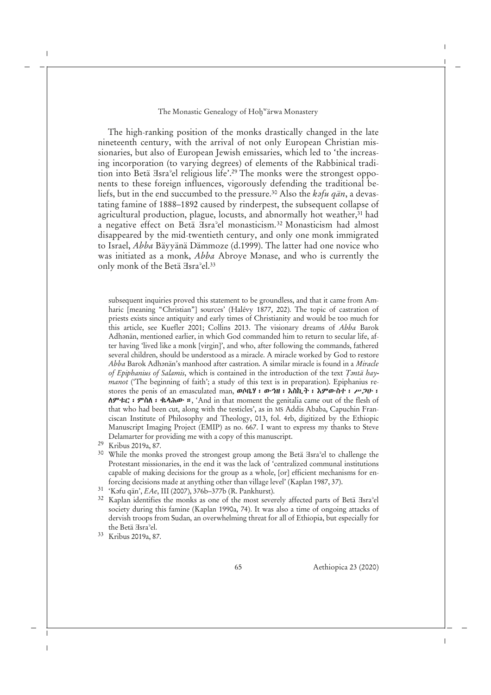The high-ranking position of the monks drastically changed in the late nineteenth century, with the arrival of not only European Christian missionaries, but also of European Jewish emissaries, which led to 'the increasing incorporation (to varying degrees) of elements of the Rabbinical tradition into Betä Hsra<sup>2</sup>el religious life'.<sup>29</sup> The monks were the strongest opponents to these foreign influences, vigorously defending the traditional beliefs, but in the end succumbed to the pressure.<sup>30</sup> Also the *k*afu gän, a devastating famine of 1888–1892 caused by rinderpest, the subsequent collapse of agricultural production, plague, locusts, and abnormally hot weather, $31$  had a negative effect on Betä Ǝsraʾel monasticism.<sup>32</sup> Monasticism had almost disappeared by the mid-twentieth century, and only one monk immigrated to Israel, *Abba* Bäyyänä Dämmoze (d.1999). The latter had one novice who was initiated as a monk, *Abba* Abroye Manase, and who is currently the only monk of the Betä Hsra<sup>o</sup>el.<sup>33</sup>

subsequent inquiries proved this statement to be groundless, and that it came from Amharic [meaning "Christian"] sources' (Halévy 1877, 202). The topic of castration of priests exists since antiquity and early times of Christianity and would be too much for this article, see Kuefler 2001; Collins 2013. The visionary dreams of *Abba* Barok Adhənän, mentioned earlier, in which God commanded him to return to secular life, after having 'lived like a monk [virgin]', and who, after following the commands, fathered several children, should be understood as a miracle. A miracle worked by God to restore *Abba* Barok Adhǝnän's manhood after castration. A similar miracle is found in a *Miracle* of *Epiphanius of Salamis*, which is contained in the introduction of the text *Tantä haymanot* ('The beginning of faith'; a study of this text is in preparation). Epiphanius restores the penis of an emasculated man, ወሰቤሃ፡ ውኅዘ፡ እስኪት፡ እምውስተ፡ ሥጋሁ፡  $\Lambda \mathcal{P}$   $\tau$   $\mathcal{C}$ :  $\mathcal{P}$   $\Lambda \Lambda$ :  $\mathcal{C}$   $\mathcal{A}$   $\Lambda \Lambda \mathcal{P}$  :  $\Lambda$  and in that moment the genitalia came out of the flesh of that who had been cut, along with the testicles', as in MS Addis Ababa, Capuchin Franciscan Institute of Philosophy and Theology, 013, fol. 4rb, digitized by the Ethiopic Manuscript Imaging Project (EMIP) as no. 667. I want to express my thanks to Steve Delamarter for providing me with a copy of this manuscript.

- <sup>29</sup> Kribus 2019a, 87.
- <sup>30</sup> While the monks proved the strongest group among the Betä <sup>H</sup>sra<sup>2</sup>el to challenge the Protestant missionaries, in the end it was the lack of 'centralized communal institutions capable of making decisions for the group as a whole, [or] efficient mechanisms for enforcing decisions made at anything other than village level' (Kaplan 1987, 37).
- <sup>31</sup> 'Kǝfu qän', *EAe*, III (2007), 376b–377b (R. Pankhurst).
- <sup>32</sup> Kaplan identifies the monks as one of the most severely affected parts of Betä *Hsra*<sup>2</sup>el society during this famine (Kaplan 1990a, 74). It was also a time of ongoing attacks of dervish troops from Sudan, an overwhelming threat for all of Ethiopia, but especially for the Betä Ǝsraʾel.
- <sup>33</sup> Kribus 2019a, 87.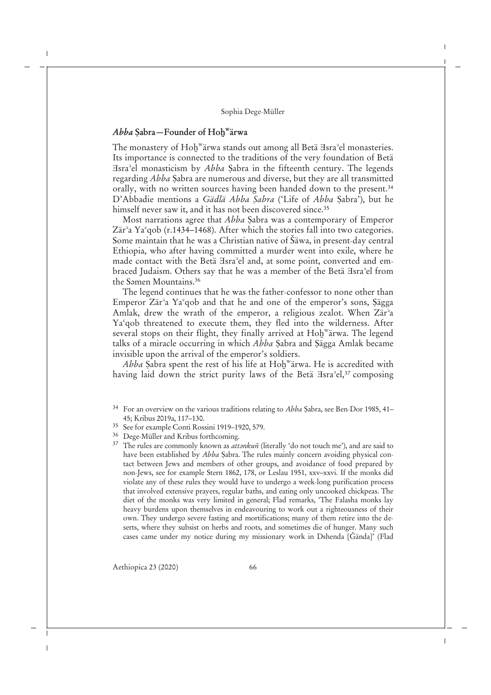## *Abba* **Ṣabra—Founder of Hoḫ<sup>w</sup> ärwa**

The monastery of Hoḫ<sup>w</sup>ärwa stands out among all Betä ∃sra°el monasteries. Its importance is connected to the traditions of the very foundation of Betä Ǝsraʾel monasticism by *Abba* Ṣabra in the fifteenth century. The legends regarding *Abba* Ṣabra are numerous and diverse, but they are all transmitted orally, with no written sources having been handed down to the present.<sup>34</sup> D'Abbadie mentions a *Gädlä Abba Ṣabra* ('Life of *Abba* Ṣabra'), but he himself never saw it, and it has not been discovered since.<sup>35</sup>

Most narrations agree that *Abba* Ṣabra was a contemporary of Emperor Zär<sup>°</sup>a Ya<sup>c</sup>gob (r.1434–1468). After which the stories fall into two categories. Some maintain that he was a Christian native of Šäwa, in present-day central Ethiopia, who after having committed a murder went into exile, where he made contact with the Betä Isra<sup>3</sup>el and, at some point, converted and embraced Judaism. Others say that he was a member of the Betä Hsra<sup>2</sup>el from the Samen Mountains.<sup>36</sup>

The legend continues that he was the father-confessor to none other than Emperor Zärʾa Yaʿqob and that he and one of the emperor's sons, Ṣägga Amlak, drew the wrath of the emperor, a religious zealot. When Zär<sup>2</sup>a Yaʿqob threatened to execute them, they fled into the wilderness. After several stops on their flight, they finally arrived at Hoḫ<sup>w</sup>ärwa. The legend talks of a miracle occurring in which *Abba* Ṣabra and Ṣägga Amlak became invisible upon the arrival of the emperor's soldiers.

*Abba* Ṣabra spent the rest of his life at Hoḫ<sup>w</sup> ärwa. He is accredited with having laid down the strict purity laws of the Betä Hsra<sup>2</sup>el,<sup>37</sup> composing

<sup>36</sup> Dege-Müller and Kribus forthcoming.

<sup>34</sup> For an overview on the various traditions relating to *Abba* Ṣabra, see Ben-Dor 1985, 41– 45; Kribus 2019a, 117–130.

<sup>35</sup> See for example Conti Rossini 1919–1920, 579.

<sup>&</sup>lt;sup>37</sup> The rules are commonly known as *attankuñ* (literally 'do not touch me'), and are said to have been established by *Abba* Ṣabra. The rules mainly concern avoiding physical contact between Jews and members of other groups, and avoidance of food prepared by non-Jews, see for example Stern 1862, 178, or Leslau 1951, xxv–xxvi. If the monks did violate any of these rules they would have to undergo a week-long purification process that involved extensive prayers, regular baths, and eating only uncooked chickpeas. The diet of the monks was very limited in general; Flad remarks, 'The Falasha monks lay heavy burdens upon themselves in endeavouring to work out a righteousness of their own. They undergo severe fasting and mortifications; many of them retire into the deserts, where they subsist on herbs and roots, and sometimes die of hunger. Many such cases came under my notice during my missionary work in Dshenda [Ǧända]' (Flad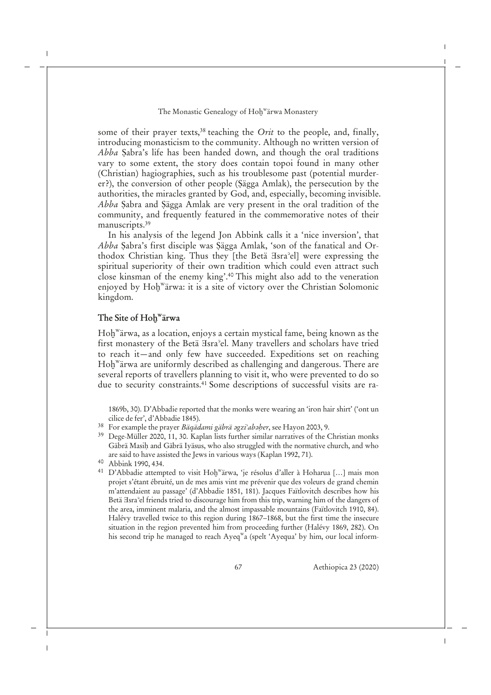some of their prayer texts,<sup>38</sup> teaching the *Orit* to the people, and, finally, introducing monasticism to the community. Although no written version of *Abba* Ṣabra's life has been handed down, and though the oral traditions vary to some extent, the story does contain topoi found in many other (Christian) hagiographies, such as his troublesome past (potential murderer?), the conversion of other people (Ṣägga Amlak), the persecution by the authorities, the miracles granted by God, and, especially, becoming invisible. *Abba* Ṣabra and Ṣägga Amlak are very present in the oral tradition of the community, and frequently featured in the commemorative notes of their manuscripts.<sup>39</sup>

In his analysis of the legend Jon Abbink calls it a 'nice inversion', that *Abba* Ṣabra's first disciple was Ṣägga Amlak, 'son of the fanatical and Orthodox Christian king. Thus they [the Betä Ǝsraʾel] were expressing the spiritual superiority of their own tradition which could even attract such close kinsman of the enemy king'.<sup>40</sup> This might also add to the veneration enjoyed by Hoḫ<sup>w</sup>ärwa: it is a site of victory over the Christian Solomonic kingdom.

## **The Site of Hoḫ<sup>w</sup> ärwa**

Hoḫ<sup>w</sup> ärwa, as a location, enjoys a certain mystical fame, being known as the first monastery of the Betä *Hsra*<sup>2</sup>el. Many travellers and scholars have tried to reach it—and only few have succeeded. Expeditions set on reaching Hoḫ<sup>w</sup> ärwa are uniformly described as challenging and dangerous. There are several reports of travellers planning to visit it, who were prevented to do so due to security constraints.<sup>41</sup> Some descriptions of successful visits are ra-

1869b, 30). D'Abbadie reported that the monks were wearing an 'iron hair shirt' ('ont un cilice de fer', d'Abbadie 1845).

- <sup>38</sup> For example the prayer *Bäqädami gäbrä əgzi<sup>∍</sup>abəḥer*, see Hayon 2003, 9.<br><sup>39</sup> Dege-Müller 2020, 11, 30. Kaplan lists further similar narratives of the C
- Dege-Müller 2020, 11, 30. Kaplan lists further similar narratives of the Christian monks Gäbrä Masih and Gäbrä Iyäsus, who also struggled with the normative church, and who are said to have assisted the Jews in various ways (Kaplan 1992, 71).
- <sup>40</sup> Abbink 1990, 434.
- <sup>41</sup> D'Abbadie attempted to visit Hoḫ<sup>w</sup>ärwa, 'je résolus d'aller à Hoharua [...] mais mon projet s'étant ébruité, un de mes amis vint me prévenir que des voleurs de grand chemin m'attendaient au passage' (d'Abbadie 1851, 181). Jacques Faïtlovitch describes how his Betä Hara<sup>3</sup>el friends tried to discourage him from this trip, warning him of the dangers of the area, imminent malaria, and the almost impassable mountains (Faïtlovitch 1910, 84). Halévy travelled twice to this region during 1867–1868, but the first time the insecure situation in the region prevented him from proceeding further (Halévy 1869, 282). On his second trip he managed to reach Ayeq<sup>w</sup>a (spelt 'Ayequa' by him, our local inform-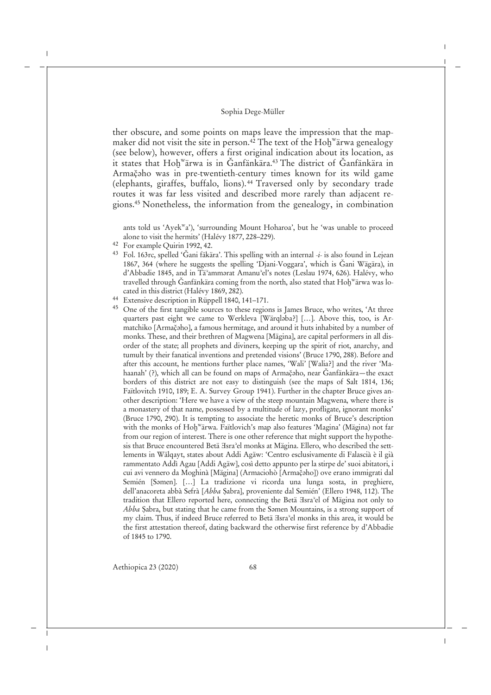ther obscure, and some points on maps leave the impression that the mapmaker did not visit the site in person.<sup>42</sup> The text of the Hoḫ<sup>w</sup>ärwa genealogy (see below), however, offers a first original indication about its location, as it states that Hoḫʷärwa is in Ğanfänkära.<sup>43</sup> The district of Ğanfänkära in Armačaho was in pre-twentieth-century times known for its wild game (elephants, giraffes, buffalo, lions). <sup>44</sup> Traversed only by secondary trade routes it was far less visited and described more rarely than adjacent regions.<sup>45</sup> Nonetheless, the information from the genealogy, in combination

ants told us 'Ayek<sup>w</sup>a'), 'surrounding Mount Hoharoa', but he 'was unable to proceed alone to visit the hermits' (Halévy 1877, 228–229).

- <sup>42</sup> For example Quirin 1992, 42.
- <sup>43</sup> Fol. 163rc, spelled 'Ǧani fäkära'. This spelling with an internal -*i* is also found in Lejean 1867, 364 (where he suggests the spelling 'Djani-Voggara', which is Ǧani Wägära), in d'Abbadie 1845, and in Tä'ammərat Amanu'el's notes (Leslau 1974, 626). Halévy, who travelled through Ğanfänkära coming from the north, also stated that Hoḫʷärwa was located in this district (Halévy 1869, 282).
- <sup>44</sup> Extensive description in Rüppell 1840, 141–171.
- <sup>45</sup> One of the first tangible sources to these regions is James Bruce, who writes, 'At three quarters past eight we came to Werkleva [Wärqlaba?] [...]. Above this, too, is Armatchiko [Armač̣ǝho], a famous hermitage, and around it huts inhabited by a number of monks. These, and their brethren of Magwena [Mägina], are capital performers in all disorder of the state; all prophets and diviners, keeping up the spirit of riot, anarchy, and tumult by their fanatical inventions and pretended visions' (Bruce 1790, 288). Before and after this account, he mentions further place names, 'Wali' [Walia?] and the river 'Mahaanah' (?), which all can be found on maps of Armačaho, near Ğanfänkära—the exact borders of this district are not easy to distinguish (see the maps of Salt 1814, 136; Faïtlovitch 1910, 189; E. A. Survey Group 1941). Further in the chapter Bruce gives another description: 'Here we have a view of the steep mountain Magwena, where there is a monastery of that name, possessed by a multitude of lazy, profligate, ignorant monks' (Bruce 1790, 290). It is tempting to associate the heretic monks of Bruce's description with the monks of Hoḫ<sup>w</sup>ärwa. Faïtlovich's map also features 'Magina' (Mägina) not far from our region of interest. There is one other reference that might support the hypothesis that Bruce encountered Betä <sup>H</sup>sra<sup>2</sup>el monks at Mägina. Ellero, who described the settlements in Wälqayt, states about Addi Agäw: 'Centro esclusivamente di Falascià è il già rammentato Addì Agau [Addi Agäw], così detto appunto per la stirpe de' suoi abitatori, i cui avi vennero da Moghinà [Mägina] (Armaciohò [Armač̣ǝho]) ove erano immigrati dal Semién [Samen]. [...] La tradizione vi ricorda una lunga sosta, in preghiere, dell'anacoreta abbà Sefrà [*Abba* Ṣabra], proveniente dal Semién' (Ellero 1948, 112). The tradition that Ellero reported here, connecting the Betä  $\exists s$ ra<sup>3</sup>el of Mägina not only to *Abba* Sabra, but stating that he came from the Samen Mountains, is a strong support of my claim. Thus, if indeed Bruce referred to Betä  $\text{Isra}^2$ el monks in this area, it would be the first attestation thereof, dating backward the otherwise first reference by d'Abbadie of 1845 to 1790.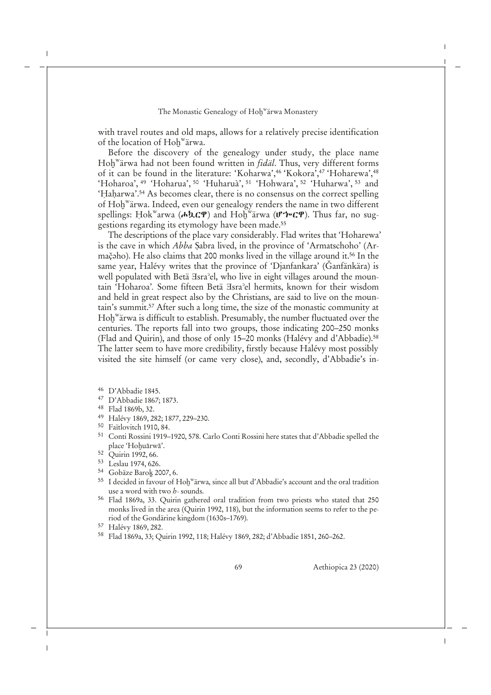with travel routes and old maps, allows for a relatively precise identification of the location of Hoḫ<sup>w</sup> ärwa.

Before the discovery of the genealogy under study, the place name Hoḫ<sup>w</sup> ärwa had not been found written in *fidäl*. Thus, very different forms of it can be found in the literature: 'Koharwa',<sup>46</sup> 'Kokora',<sup>47</sup> 'Hoharewa',<sup>48</sup> 'Hoharoa', <sup>49</sup> 'Hoharua', <sup>50</sup> 'Huharuà', <sup>51</sup> 'Hohwara', <sup>52</sup> 'Huharwa', <sup>53</sup> and 'Haharwa'.<sup>54</sup> As becomes clear, there is no consensus on the correct spelling of Hoḫ<sup>w</sup>ärwa. Indeed, even our genealogy renders the name in two different spellings: Ḥokʷarwa (**ሖኳርዋ**) and Hoḫʷärwa (ሆ**'ሎርዋ**). Thus far, no suggestions regarding its etymology have been made.<sup>55</sup>

The descriptions of the place vary considerably. Flad writes that 'Hoharewa' is the cave in which *Abba* Ṣabra lived, in the province of 'Armatschoho' (Armačaho). He also claims that 200 monks lived in the village around it.<sup>56</sup> In the same year, Halévy writes that the province of 'Djanfankara' (Ǧanfänkära) is well populated with Betä Isra<sup>3</sup>el, who live in eight villages around the mountain 'Hoharoa'*.* Some fifteen Betä Ǝsraʾel hermits, known for their wisdom and held in great respect also by the Christians, are said to live on the mountain's summit.<sup>57</sup> After such a long time, the size of the monastic community at Hoḫ<sup>w</sup> ärwa is difficult to establish. Presumably, the number fluctuated over the centuries. The reports fall into two groups, those indicating 200–250 monks (Flad and Quirin), and those of only 15–20 monks (Halévy and d'Abbadie).<sup>58</sup> The latter seem to have more credibility, firstly because Halévy most possibly visited the site himself (or came very close), and, secondly, d'Abbadie's in-

- <sup>46</sup> D'Abbadie 1845.
- <sup>47</sup> D'Abbadie 1867; 1873.
- <sup>48</sup> Flad 1869b, 32.
- <sup>49</sup> Halévy 1869, 282; 1877, 229–230.
- <sup>50</sup> Faïtlovitch 1910, 84.
- <sup>51</sup> Conti Rossini 1919–1920, 578. Carlo Conti Rossini here states that d'Abbadie spelled the place 'Hohuārwā'.
- <sup>52</sup> Quirin 1992, 66.
- <sup>53</sup> Leslau 1974, 626.
- <sup>54</sup> Gobäze Baroḵ 2007, 6.
- <sup>55</sup> I decided in favour of Hoḫ<sup>w</sup>ärwa, since all but d'Abbadie's account and the oral tradition use a word with two *h*- sounds.
- <sup>56</sup> Flad 1869a, 33. Quirin gathered oral tradition from two priests who stated that 250 monks lived in the area (Quirin 1992, 118), but the information seems to refer to the period of the Gondärine kingdom (1630s–1769).

<sup>58</sup> Flad 1869a, 33; Quirin 1992, 118; Halévy 1869, 282; d'Abbadie 1851, 260–262.

<sup>57</sup> Halévy 1869, 282.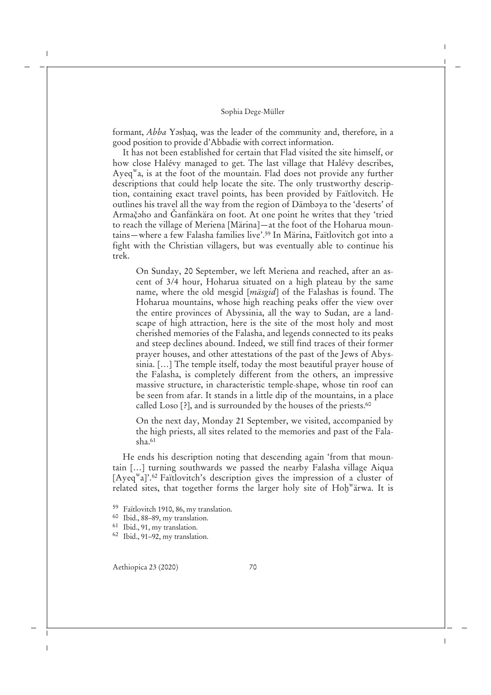formant, *Abba* Yashaq, was the leader of the community and, therefore, in a good position to provide d'Abbadie with correct information.

It has not been established for certain that Flad visited the site himself, or how close Halévy managed to get. The last village that Halévy describes, Ayeq<sup>w</sup>a, is at the foot of the mountain. Flad does not provide any further descriptions that could help locate the site. The only trustworthy description, containing exact travel points, has been provided by Faïtlovitch. He outlines his travel all the way from the region of Dämbəya to the 'deserts' of Armačaho and Ğanfänkära on foot. At one point he writes that they 'tried to reach the village of Meriena [Märina]—at the foot of the Hoharua mountains—where a few Falasha families live'.<sup>59</sup> In Märina, Faïtlovitch got into a fight with the Christian villagers, but was eventually able to continue his trek.

On Sunday, 20 September, we left Meriena and reached, after an ascent of 3/4 hour, Hoharua situated on a high plateau by the same name, where the old mesgid [*mäsgid*] of the Falashas is found. The Hoharua mountains, whose high reaching peaks offer the view over the entire provinces of Abyssinia, all the way to Sudan, are a landscape of high attraction, here is the site of the most holy and most cherished memories of the Falasha, and legends connected to its peaks and steep declines abound. Indeed, we still find traces of their former prayer houses, and other attestations of the past of the Jews of Abyssinia. […] The temple itself, today the most beautiful prayer house of the Falasha, is completely different from the others, an impressive massive structure, in characteristic temple-shape, whose tin roof can be seen from afar. It stands in a little dip of the mountains, in a place called Loso [?], and is surrounded by the houses of the priests.<sup>60</sup>

On the next day, Monday 21 September, we visited, accompanied by the high priests, all sites related to the memories and past of the Fala $sha.61$ 

He ends his description noting that descending again 'from that mountain […] turning southwards we passed the nearby Falasha village Aiqua [Ayeq<sup>w</sup>a]'.<sup>62</sup> Faïtlovitch's description gives the impression of a cluster of related sites, that together forms the larger holy site of Hoḫ<sup>w</sup>ärwa. It is

- <sup>59</sup> Faïtlovitch 1910, 86, my translation.
- <sup>60</sup> Ibid., 88–89, my translation.
- <sup>61</sup> Ibid., 91, my translation.
- <sup>62</sup> Ibid., 91–92, my translation.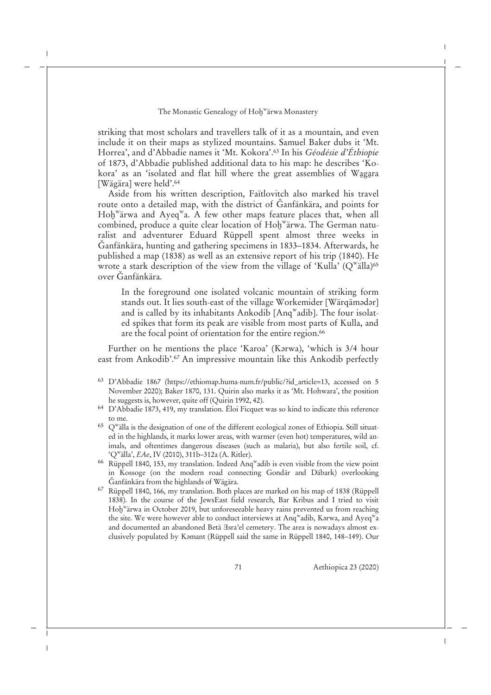striking that most scholars and travellers talk of it as a mountain, and even include it on their maps as stylized mountains. Samuel Baker dubs it 'Mt. Horrea', and d'Abbadie names it 'Mt. Kokora'.<sup>63</sup> In his *Géodésie d'Éthiopie* of 1873, d'Abbadie published additional data to his map: he describes 'Kokora' as an 'isolated and flat hill where the great assemblies of Wagara [Wägära] were held'.<sup>64</sup>

Aside from his written description, Faïtlovitch also marked his travel route onto a detailed map, with the district of Ǧanfänkära, and points for Hoḫʷärwa and Ayeqʷa. A few other maps feature places that, when all combined, produce a quite clear location of Hoḫ<sup>w</sup>ärwa. The German naturalist and adventurer Eduard Rüppell spent almost three weeks in Ǧanfänkära, hunting and gathering specimens in 1833–1834. Afterwards, he published a map (1838) as well as an extensive report of his trip (1840). He wrote a stark description of the view from the village of 'Kulla' ( $Q^{\text{w}}$ älla)<sup>65</sup> over Ǧanfänkära.

In the foreground one isolated volcanic mountain of striking form stands out. It lies south-east of the village Workemider [Wärqämadar] and is called by its inhabitants Ankodib [Anq $^{\rm w}$ adib]. The four isolated spikes that form its peak are visible from most parts of Kulla, and are the focal point of orientation for the entire region.<sup>66</sup>

Further on he mentions the place 'Karoa' (Karwa), 'which is 3/4 hour east from Ankodib'.<sup>67</sup> An impressive mountain like this Ankodib perfectly

- <sup>63</sup> D'Abbadie 1867 (https://ethiomap.huma-num.fr/public/?id\_article=13, accessed on 5 November 2020); Baker 1870, 131. Quirin also marks it as 'Mt. Hohwara', the position he suggests is, however, quite off (Quirin 1992, 42).
- <sup>64</sup> D'Abbadie 1873, 419, my translation. Éloi Ficquet was so kind to indicate this reference to me.
- <sup>65</sup> Q<sup>w</sup>alla is the designation of one of the different ecological zones of Ethiopia. Still situated in the highlands, it marks lower areas, with warmer (even hot) temperatures, wild animals, and oftentimes dangerous diseases (such as malaria), but also fertile soil, cf. 'Q<sup>w</sup> älla', *EAe*, IV (2010), 311b–312a (A. Ritler).
- $66$  Rüppell 1840, 153, my translation. Indeed Anq<sup>w</sup>adib is even visible from the view point in Kossoge (on the modern road connecting Gondär and Däbark) overlooking Ǧanfänkära from the highlands of Wägära.
- <sup>67</sup> Rüppell 1840, 166, my translation. Both places are marked on his map of 1838 (Rüppell 1838). In the course of the JewsEast field research, Bar Kribus and I tried to visit Hoḫ<sup>w</sup> ärwa in October 2019, but unforeseeable heavy rains prevented us from reaching the site. We were however able to conduct interviews at Anq $^{\rm w}$ adib, Kərwa, and Ayeq $^{\rm w}$ a and documented an abandoned Betä  $\text{Zsra}$ <sup>2</sup>el cemetery. The area is nowadays almost exclusively populated by Kǝmant (Rüppell said the same in Rüppell 1840, 148–149). Our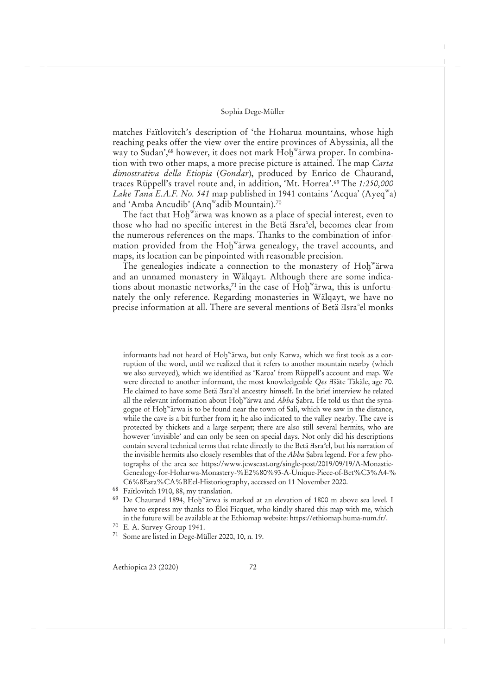matches Faïtlovitch's description of 'the Hoharua mountains, whose high reaching peaks offer the view over the entire provinces of Abyssinia, all the way to Sudan',<sup>68</sup> however, it does not mark Hoḫ<sup>w</sup>ärwa proper. In combination with two other maps, a more precise picture is attained. The map *Carta dimostrativa della Etiopia* (*Gondar*), produced by Enrico de Chaurand, traces Rüppell's travel route and, in addition, 'Mt. Horrea'.<sup>69</sup> The *1:250,000* Lake Tana E.A.F. No. 541 map published in 1941 contains 'Acqua' (Ayeq<sup>w</sup>a) and 'Amba Ancudib' (Anq<sup>w</sup>adib Mountain).<sup>70</sup>

The fact that Hoḫʷärwa was known as a place of special interest, even to those who had no specific interest in the Betä Ǝsraʾel, becomes clear from the numerous references on the maps. Thanks to the combination of information provided from the Hoḫ<sup>w</sup>ärwa genealogy, the travel accounts, and maps, its location can be pinpointed with reasonable precision.

The genealogies indicate a connection to the monastery of Hoḫ<sup>w</sup>ärwa and an unnamed monastery in Wälqayt. Although there are some indications about monastic networks,<sup>71</sup> in the case of Hoḫ<sup>w</sup>ärwa, this is unfortunately the only reference. Regarding monasteries in Wälqayt, we have no precise information at all. There are several mentions of Betä Hsra<sup>2</sup>el monks

informants had not heard of Hoḫ<sup>w</sup>ärwa, but only Karwa, which we first took as a corruption of the word, until we realized that it refers to another mountain nearby (which we also surveyed), which we identified as 'Karoa' from Rüppell's account and map. We were directed to another informant, the most knowledgeable *Qes H*šäte Täkäle, age 70. He claimed to have some Betä Hsra<sup>2</sup>el ancestry himself. In the brief interview he related all the relevant information about Hoḫ<sup>w</sup>ärwa and *Abba* Ṣabra. He told us that the synagogue of Hoḫ<sup>w</sup> ärwa is to be found near the town of Sali, which we saw in the distance, while the cave is a bit further from it; he also indicated to the valley nearby. The cave is protected by thickets and a large serpent; there are also still several hermits, who are however 'invisible' and can only be seen on special days. Not only did his descriptions contain several technical terms that relate directly to the Betä Ǝsraʾel, but his narration of the invisible hermits also closely resembles that of the *Abba* Ṣabra legend. For a few photographs of the area see https://www.jewseast.org/single-post/2019/09/19/A-Monastic-Genealogy-for-Hoharwa-Monastery-%E2%80%93-A-Unique-Piece-of-Bet%C3%A4-% C6%8Esra%CA%BEel-Historiography, accessed on 11 November 2020.

<sup>68</sup> Faïtlovitch 1910, 88, my translation.

<sup>69</sup> De Chaurand 1894, Hoḫ<sup>w</sup>ärwa is marked at an elevation of 1800 m above sea level. I have to express my thanks to Éloi Ficquet, who kindly shared this map with me, which in the future will be available at the Ethiomap website: https://ethiomap.huma-num.fr/.

- <sup>70</sup> E. A. Survey Group 1941.
- <sup>71</sup> Some are listed in Dege-Müller 2020, 10, n. 19.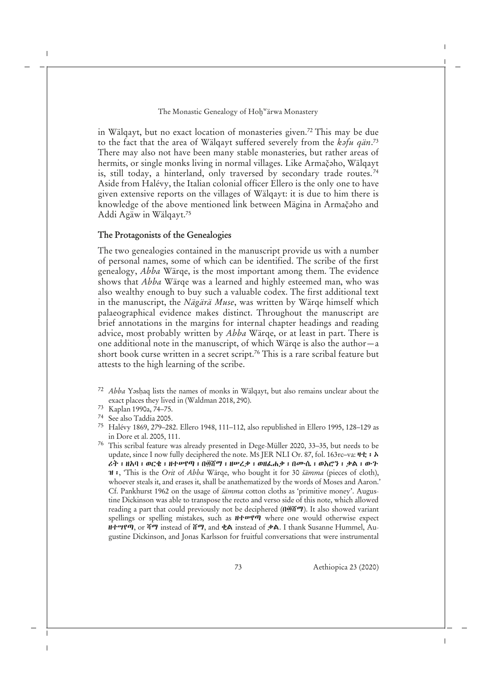in Wälqayt, but no exact location of monasteries given.<sup>72</sup> This may be due to the fact that the area of Wälqayt suffered severely from the *kəfu qän.<sup>73</sup>* There may also not have been many stable monasteries, but rather areas of hermits, or single monks living in normal villages. Like Armačaho, Wälqayt is, still today, a hinterland, only traversed by secondary trade routes.<sup>74</sup> Aside from Halévy, the Italian colonial officer Ellero is the only one to have given extensive reports on the villages of Wälqayt: it is due to him there is knowledge of the above mentioned link between Mägina in Armačaho and Addi Agäw in Wälqayt.<sup>75</sup>

## **The Protagonists of the Genealogies**

The two genealogies contained in the manuscript provide us with a number of personal names, some of which can be identified. The scribe of the first genealogy, *Abba* Wärqe, is the most important among them. The evidence shows that *Abba* Wärqe was a learned and highly esteemed man, who was also wealthy enough to buy such a valuable codex. The first additional text in the manuscript, the *Nägärä Muse*, was written by Wärqe himself which palaeographical evidence makes distinct. Throughout the manuscript are brief annotations in the margins for internal chapter headings and reading advice, most probably written by *Abba* Wärqe, or at least in part. There is one additional note in the manuscript, of which Wärqe is also the author—a short book curse written in a secret script.<sup>76</sup> This is a rare scribal feature but attests to the high learning of the scribe.

- <sup>72</sup> *Abba* Yǝsḥaq lists the names of monks in Wälqayt, but also remains unclear about the exact places they lived in (Waldman 2018, 290).
- <sup>73</sup> Kaplan 1990a, 74–75.
- <sup>74</sup> See also Taddia 2005.
- <sup>75</sup> Halévy 1869, 279–282. Ellero 1948, 111–112, also republished in Ellero 1995, 128–129 as in Dore et al. 2005, 111.
- <sup>76</sup> This scribal feature was already presented in Dege-Müller 2020, 33–35, but needs to be update, since I now fully deciphered the note. Ms JER NLI Or. 87, fol. 163rc-va: ዛቲ ፡ ኦ ሪት፡ ዘአባ፡ ወርቄ፡ ዘተሠየጣ፡ በ፴ሸማ፡ ዘሠረቃ፡ ወዘፈሐቃ፡ በሙሴ፡ ወአሮን፡ ቃል፡ ውጉ ዝ፡, 'This is the *Orit* of *Abba* Wärqe, who bought it for 30 *šämma* (pieces of cloth), whoever steals it, and erases it, shall be anathematized by the words of Moses and Aaron.' Cf. Pankhurst 1962 on the usage of *šämma* cotton cloths as 'primitive money'. Augustine Dickinson was able to transpose the recto and verso side of this note, which allowed reading a part that could previously not be deciphered (በ፴ሸማ). It also showed variant spellings or spelling mistakes, such as  $H + \nu$ ? where one would otherwise expect ዘተሣየጣ, or ሻማ instead of ሸማ, and ቂል instead of ቃል. I thank Susanne Hummel, Augustine Dickinson, and Jonas Karlsson for fruitful conversations that were instrumental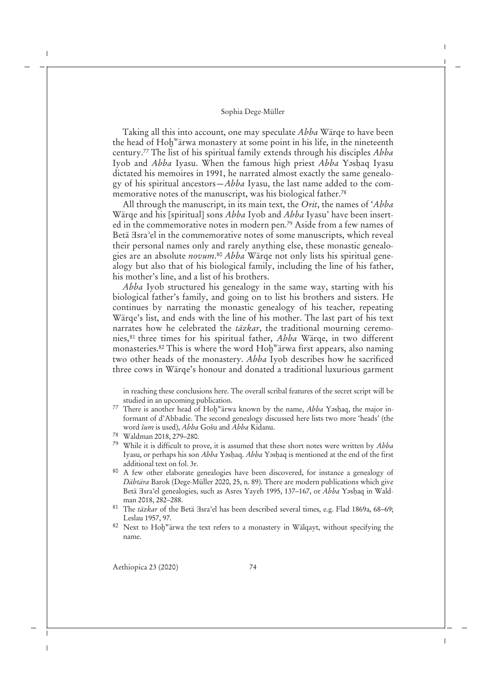Taking all this into account, one may speculate *Abba* Wärqe to have been the head of Hoḫ<sup>w</sup>ärwa monastery at some point in his life, in the nineteenth century.<sup>77</sup> The list of his spiritual family extends through his disciples *Abba* Iyob and *Abba* Iyasu. When the famous high priest *Abba* Yǝsḥaq Iyasu dictated his memoires in 1991, he narrated almost exactly the same genealogy of his spiritual ancestors—*Abba* Iyasu, the last name added to the commemorative notes of the manuscript, was his biological father.<sup>78</sup>

All through the manuscript, in its main text, the *Orit*, the names of '*Abba* Wärqe and his [spiritual] sons *Abba* Iyob and *Abba* Iyasu' have been inserted in the commemorative notes in modern pen.<sup>79</sup> Aside from a few names of Betä Isra<sup>3</sup>el in the commemorative notes of some manuscripts, which reveal their personal names only and rarely anything else, these monastic genealogies are an absolute *novum*. <sup>80</sup> *Abba* Wärqe not only lists his spiritual genealogy but also that of his biological family, including the line of his father, his mother's line, and a list of his brothers.

*Abba* Iyob structured his genealogy in the same way, starting with his biological father's family, and going on to list his brothers and sisters. He continues by narrating the monastic genealogy of his teacher, repeating Wärqe's list, and ends with the line of his mother. The last part of his text narrates how he celebrated the *täzkar*, the traditional mourning ceremonies,<sup>81</sup> three times for his spiritual father, *Abba* Wärqe, in two different monasteries.<sup>82</sup> This is where the word Hoḫ<sup>w</sup>ärwa first appears, also naming two other heads of the monastery. *Abba* Iyob describes how he sacrificed three cows in Wärqe's honour and donated a traditional luxurious garment

in reaching these conclusions here. The overall scribal features of the secret script will be studied in an upcoming publication.

- 77 There is another head of Hoḫ<sup>w</sup>ärwa known by the name, *Abba Y*əsḥaq, the major informant of d'Abbadie. The second genealogy discussed here lists two more 'heads' (the word *šum* is used), *Abba* Gošu and *Abba* Kidanu.
- <sup>78</sup> Waldman 2018, 279–280.
- <sup>79</sup> While it is difficult to prove, it is assumed that these short notes were written by *Abba* Iyasu, or perhaps his son *Abba* Yǝsḥaq. *Abba* Yǝsḥaq is mentioned at the end of the first additional text on fol. 3r.
- <sup>80</sup> A few other elaborate genealogies have been discovered, for instance a genealogy of *Däbtära* Barok (Dege-Müller 2020, 25, n. 89). There are modern publications which give Betä ∃sra<sup>3</sup>el genealogies, such as Asres Yayeh 1995, 137–167, or *Abba* Yəshaq in Waldman 2018, 282–288.
- 81 The *täzkar* of the Betä *Hsra*<sup>2</sup>el has been described several times, e.g. Flad 1869a, 68–69; Leslau 1957, 97.
- $82$  Next to Hoḫ<sup>w</sup>ärwa the text refers to a monastery in Wälqayt, without specifying the name.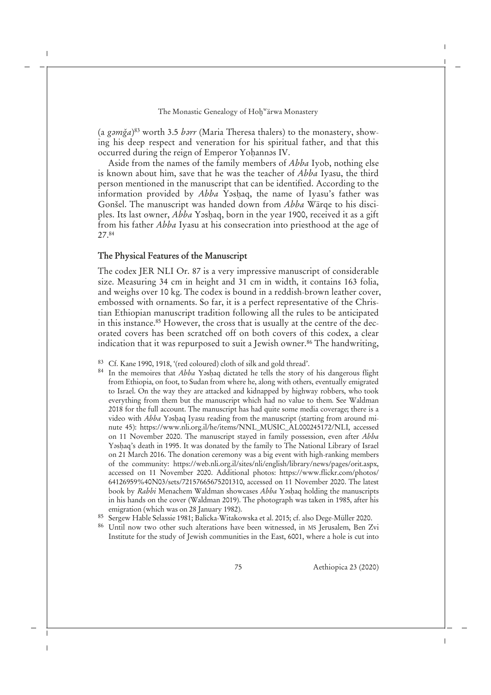(a *gǝmga*) <sup>83</sup> worth 3.5 *bǝrr* (Maria Theresa thalers) to the monastery, showing his deep respect and veneration for his spiritual father, and that this occurred during the reign of Emperor Yoḥannǝs IV.

Aside from the names of the family members of *Abba* Iyob, nothing else is known about him, save that he was the teacher of *Abba* Iyasu, the third person mentioned in the manuscript that can be identified. According to the information provided by *Abba* Yoshaq, the name of Iyasu's father was Gonšel. The manuscript was handed down from *Abba* Wärqe to his disciples. Its last owner, *Abba* Yǝsḥaq, born in the year 1900, received it as a gift from his father *Abba* Iyasu at his consecration into priesthood at the age of 27.<sup>84</sup>

#### **The Physical Features of the Manuscript**

The codex JER NLI Or. 87 is a very impressive manuscript of considerable size. Measuring 34 cm in height and 31 cm in width, it contains 163 folia, and weighs over 10 kg. The codex is bound in a reddish-brown leather cover, embossed with ornaments. So far, it is a perfect representative of the Christian Ethiopian manuscript tradition following all the rules to be anticipated in this instance.<sup>85</sup> However, the cross that is usually at the centre of the decorated covers has been scratched off on both covers of this codex, a clear indication that it was repurposed to suit a Jewish owner.<sup>86</sup> The handwriting,

- <sup>83</sup> Cf. Kane 1990, 1918, '(red coloured) cloth of silk and gold thread'.
- <sup>84</sup> In the memoires that *Abba* Yashaq dictated he tells the story of his dangerous flight from Ethiopia, on foot, to Sudan from where he, along with others, eventually emigrated to Israel. On the way they are attacked and kidnapped by highway robbers, who took everything from them but the manuscript which had no value to them. See Waldman 2018 for the full account. The manuscript has had quite some media coverage; there is a video with *Abba* Yəshaq Iyasu reading from the manuscript (starting from around minute 45): https://www.nli.org.il/he/items/NNL\_MUSIC\_AL000245172/NLI, accessed on 11 November 2020. The manuscript stayed in family possession, even after *Abba* Yashaq's death in 1995. It was donated by the family to The National Library of Israel on 21 March 2016. The donation ceremony was a big event with high-ranking members of the community: https://web.nli.org.il/sites/nli/english/library/news/pages/orit.aspx, accessed on 11 November 2020. Additional photos: https://www.flickr.com/photos/ 64126959%40N03/sets/72157665675201310, accessed on 11 November 2020. The latest book by *Rabbi* Menachem Waldman showcases *Abba* Yǝsḥaq holding the manuscripts in his hands on the cover (Waldman 2019). The photograph was taken in 1985, after his emigration (which was on 28 January 1982).
- <sup>85</sup> Sergew Hable Selassie 1981; Balicka-Witakowska et al. 2015; cf. also Dege-Müller 2020.
- <sup>86</sup> Until now two other such alterations have been witnessed, in MS Jerusalem, Ben Zvi Institute for the study of Jewish communities in the East, 6001, where a hole is cut into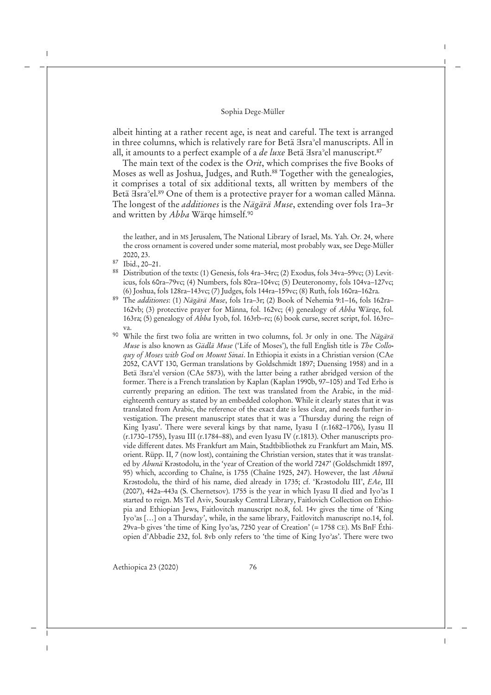albeit hinting at a rather recent age, is neat and careful. The text is arranged in three columns, which is relatively rare for Betä Hsra<sup>3</sup>el manuscripts. All in all, it amounts to a perfect example of a *de luxe* Betä *Hsra*<sup>3</sup>el manuscript.<sup>87</sup>

The main text of the codex is the *Orit*, which comprises the five Books of Moses as well as Joshua, Judges, and Ruth.<sup>88</sup> Together with the genealogies, it comprises a total of six additional texts, all written by members of the Betä Isra<sup>°</sup>el.<sup>89</sup> One of them is a protective prayer for a woman called Männa. The longest of the *additiones* is the *Nägärä Muse*, extending over fols 1ra–3r and written by *Abba* Wärqe himself.<sup>90</sup>

the leather, and in MS Jerusalem, The National Library of Israel, Ms. Yah. Or. 24, where the cross ornament is covered under some material, most probably wax, see Dege-Müller 2020, 23.

- <sup>87</sup> Ibid., 20–21.
- <sup>88</sup> Distribution of the texts: (1) Genesis, fols 4ra–34rc; (2) Exodus, fols 34va–59vc; (3) Leviticus, fols 60ra–79vc; (4) Numbers, fols 80ra–104vc; (5) Deuteronomy, fols 104va–127vc; (6) Joshua, fols 128ra–143vc; (7) Judges, fols 144ra–159vc; (8) Ruth, fols 160ra–162ra.
- <sup>89</sup> The *additiones*: (1) *Nägärä Muse*, fols 1ra–3r; (2) Book of Nehemia 9:1–16, fols 162ra– 162vb; (3) protective prayer for Männa, fol. 162vc; (4) genealogy of *Abba* Wärqe, fol. 163ra; (5) genealogy of *Abba* Iyob, fol. 163rb–rc; (6) book curse, secret script, fol. 163rc– va.
- <sup>90</sup> While the first two folia are written in two columns, fol. 3r only in one. The *Nägärä Muse* is also known as *Gädlä Muse* ('Life of Moses'), the full English title is *The Colloquy of Moses with God on Mount Sinai*. In Ethiopia it exists in a Christian version (CAe 2052, CAVT 130, German translations by Goldschmidt 1897; Duensing 1958) and in a Betä Hsra<sup>2</sup>el version (CAe 5873), with the latter being a rather abridged version of the former. There is a French translation by Kaplan (Kaplan 1990b, 97–105) and Ted Erho is currently preparing an edition. The text was translated from the Arabic, in the mideighteenth century as stated by an embedded colophon. While it clearly states that it was translated from Arabic, the reference of the exact date is less clear, and needs further investigation. The present manuscript states that it was a 'Thursday during the reign of King Iyasu'. There were several kings by that name, Iyasu I (r.1682–1706), Iyasu II (r.1730–1755), Iyasu III (r.1784–88), and even Iyasu IV (r.1813). Other manuscripts provide different dates. MS Frankfurt am Main, Stadtbibliothek zu Frankfurt am Main, MS. orient. Rüpp. II, 7 (now lost), containing the Christian version, states that it was translated by *Abunä* Krastodolu, in the 'year of Creation of the world 7247' (Goldschmidt 1897, 95) which, according to Chaîne, is 1755 (Chaîne 1925, 247). However, the last *Abunä* Krastodolu, the third of his name, died already in 1735; cf. 'Krastodolu III', *EAe*, III (2007), 442a–443a (S. Chernetsov). 1755 is the year in which Iyasu II died and Iyoʾas I started to reign. MS Tel Aviv, Sourasky Central Library, Faitlovich Collection on Ethiopia and Ethiopian Jews, Faitlovitch manuscript no.8, fol. 14v gives the time of 'King Iyoʾas […] on a Thursday', while, in the same library, Faitlovitch manuscript no.14, fol. 29va–b gives 'the time of King Iyoʾas, 7250 year of Creation' (= 1758 CE). MS BnF Éthiopien d'Abbadie 232, fol. 8vb only refers to 'the time of King Iyoʾas'. There were two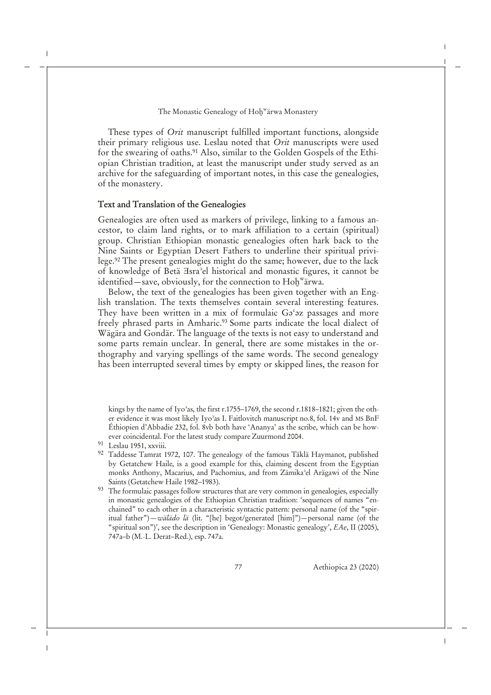These types of *Orit* manuscript fulfilled important functions, alongside their primary religious use. Leslau noted that *Orit* manuscripts were used for the swearing of oaths.<sup>91</sup> Also, similar to the Golden Gospels of the Ethiopian Christian tradition, at least the manuscript under study served as an archive for the safeguarding of important notes, in this case the genealogies, of the monastery.

## **Text and Translation of the Genealogies**

Genealogies are often used as markers of privilege, linking to a famous ancestor, to claim land rights, or to mark affiliation to a certain (spiritual) group. Christian Ethiopian monastic genealogies often hark back to the Nine Saints or Egyptian Desert Fathers to underline their spiritual privilege.<sup>92</sup> The present genealogies might do the same; however, due to the lack of knowledge of Betä Ǝsraʾel historical and monastic figures, it cannot be identified—save, obviously, for the connection to Hoḫ<sup>w</sup>ärwa.

Below, the text of the genealogies has been given together with an English translation. The texts themselves contain several interesting features. They have been written in a mix of formulaic  $G<sub>9</sub><sup>c</sup>27$  passages and more freely phrased parts in Amharic.<sup>93</sup> Some parts indicate the local dialect of Wägära and Gondär. The language of the texts is not easy to understand and some parts remain unclear. In general, there are some mistakes in the orthography and varying spellings of the same words. The second genealogy has been interrupted several times by empty or skipped lines, the reason for

kings by the name of Iyoʾas, the first r.1755–1769, the second r.1818–1821; given the other evidence it was most likely Iyoʾas I. Faitlovitch manuscript no.8, fol. 14v and MS BnF Éthiopien d'Abbadie 232, fol. 8vb both have 'Ananya' as the scribe, which can be however coincidental. For the latest study compare Zuurmond 2004.

- <sup>92</sup> Taddesse Tamrat 1972, 107. The genealogy of the famous Täklä Haymanot, published by Getatchew Haile, is a good example for this, claiming descent from the Egyptian monks Anthony, Macarius, and Pachomius, and from Zämikaʾel Arägawi of the Nine Saints (Getatchew Haile 1982–1983).
- <sup>93</sup> The formulaic passages follow structures that are very common in genealogies, especially in monastic genealogies of the Ethiopian Christian tradition: 'sequences of names "enchained" to each other in a characteristic syntactic pattern: personal name (of the "spiritual father")—*wälädo lä* (lit. "[he] begot/generated [him]")—personal name (of the "spiritual son")', see the description in 'Genealogy: Monastic genealogy', *EAe*, II (2005), 747a–b (M.-L. Derat–Red.), esp. 747a.

<sup>91</sup> Leslau 1951, xxviii.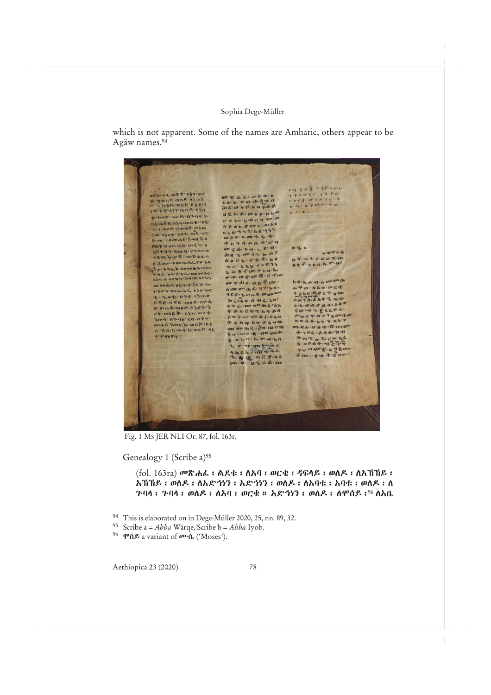which is not apparent. Some of the names are Amharic, others appear to be Agäw names.<sup>94</sup>

 $162$ LA VIA CITARE  $4 + 401 - 107$ m Robs akt: Ahning 4 ganz mog any SYR. map: A's gry  $\pi h$ :  $\pi$  't m n : 1 a : failedia mu grazu  $0 - 7$ uglo Langenson h: put: mog-Qrad-d-C 4 911 h di c 4 quan Theory Annimatering A CAL SON GINAR 447 mok amb 8:080 a he t y k h g dy't **MALANDER AND REAL AND STATE** Pas a an Ghin din a  $q u \not\in \{p: p | u \cdot v^* \in \mathcal{A}\}$ n 9, h XEP87 XIII.V P7-000  $u \pi + c$  G REPARTMENT did two Chinas DTATCGOTO g 2 mm : 0 mm 70 mL 7 P : 24 ne francin. V-n. La France Lach A-u-m & da g d d, un Akn: EnghrishniRoghy. ment caractering of the age of the  $\mu$ n :  $\mu$  is -  $0$  ,  $\mu$  an  $\delta_{\rm eff}$   $\eta_{\rm P}$  $\begin{array}{lll} \mathbf{m} \text{ vaniv}(\mathbf{w}) \mathbf{w} \mathbf{w} \mathbf{w} \mathbf{w} \mathbf{w} \mathbf{w} \mathbf{w} & \mathbf{w} \mathbf{w} \mathbf{w} \mathbf{w} \mathbf{w} \mathbf{w} \mathbf{w} \\ \mathbf{w} \mathbf{w} \mathbf{w} \mathbf{w} \mathbf{w} \mathbf{w} \mathbf{w} \mathbf{w} \mathbf{w} \mathbf{w} \mathbf{w} & \mathbf{w} \mathbf{w} \mathbf{w} \mathbf{w} \mathbf{w} \mathbf{w} \mathbf{w$ L-FU-D'ANTUCE து: ተፈልተኛል የሚገኙ ነገር የሚያስከተው መሆኑ ነገር የሚገኙ የሚገኙ ነገር የሚገኙ ነገር የሚገኙ ነገር የሚገኙ ነገር የሚገኙ ነገር የሚገኙ ነገር የሚገኙ ነገር የሚገኙ ነገር የሚገኙ ነገር የሚገኙ ነገር የሚገኙ ነገር የሚገኙ ነገር የሚገኙ ነገር የሚገኙ ነገር የሚገኙ ነገር የሚገኙ ነገር የሚገኙ ነገር የሚገኙ ነገር የሚገኙ ነገር የሚገኙ ነገ  $h + u A + g + h A +$ すのつ すてとんやん Hucenel gonfor  $\mathbf{w} = \mathbf{w} \cdot \mathbf{w} + \mathbf{w} \cdot \mathbf{w} + \mathbf{w} \cdot \mathbf{w}$  $7 - \lambda_1 + \gamma_1 + \lambda_2 + \cdots + \gamma_n = \gamma_1 + \gamma_2 + \cdots + \gamma_n$ BD-6 XOIH, & ONE : OK mondershim cap article and construction  $\mathfrak{q} \colon \mathfrak{C}$  for  $\mathfrak{C} \colon \mathfrak{m} \not\subset \mathfrak{h} \colon \mathfrak{m} \cap \mathfrak{R} \colon \mathfrak{h} \nmid_\mathfrak{A}$ gu . on G . B . On dugs  $4.506:004:04$  $: \mathbf{y} \neq \mathbf{u}$ Lake a kan half beech  $\begin{array}{c} \gamma_{M}\colon \mathcal{O}\cong \mathcal{K}\colon \mathcal{H}\xrightarrow{q} \mathcal{H}$  one is a set of  $\mathcal{H}\xrightarrow{q} \mathcal{H}$ 

Fig. 1 MS JER NLI Or. 87, fol. 163r.

Genealogy 1 (Scribe a)<sup>95</sup>

## (fol. 163ra) መጽሐፌ፡ ልደቱ፡ ለአባ፡ ወርቄ፡ ዳፍላይ፡ ወለዶ፡ ለአኽኽይ፡ አኽኽይ፡ ወለዶ፡ ለአድኅነን፡ አድኅነን፡ ወለዶ፡ ለአባቱ፡ አባቱ፡ ወለዶ፡ ለ ጉባላ፡ ጉባላ፡ ወለዶ፡ ለአባ፡ ወርቄ። አድኅነን፡ ወለዶ፡ ለሞሰይ፡<sup>96</sup> ለአቤ

- <sup>94</sup> This is elaborated on in Dege-Müller 2020, 25, nn. 89, 32.
- <sup>95</sup> Scribe a = *Abba* Wärqe, Scribe b = *Abba* Iyob.
- <sup>96</sup> ሞሰይ a variant of  $\boldsymbol{\sigma}$ ·ሴ ('Moses').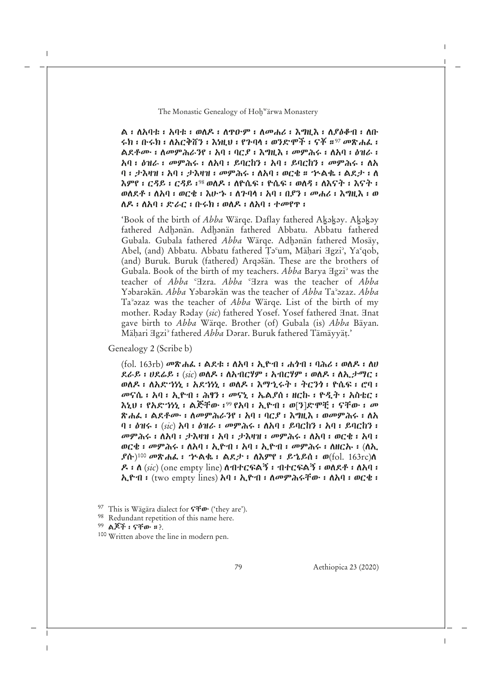ል፡ ለአባቱ፡ አባቱ፡ ወለዶ፡ ለጥዑም፡ ለመሐሪ፡ እግዚእ፡ ለያዕቆብ፡ ለቡ ሩክ፡ ቡሩክ፡ ለአርቅሸን፡ እነዚህ፡ የጉባላ፡ ወንድሞች፡ ናቾ።<sup>97</sup> መጽሐፈ፡ ልደቶሙ፡ ለመምሕራንየ፡ አባ፡ ባርያ፡ እግዚእ፡ መምሕሩ፡ ለአባ፡ ዕዝራ፡ አባ፡ ዕዝራ፡ መምሕሩ፡ ለአባ፡ ይባርከን፡ አባ፡ ይባርከን፡ መምሕሩ፡ ለአ ባ፡ ታእዛዝ፡ አባ፡ ታእዛዝ፡ መምሕሩ፡ ለአባ፡ ወርቄ። ኊልቈ፡ ልደታ፡ ለ እምየ፡ ርዳይ ፡ ርዳይ ፡<sup>98</sup> ወለዶ ፡ ለዮሴፍ ፡ ዮሴፍ ፡ ወለዳ ፡ ለእናት ፡ እናት ፡ ወለደቶ ፡ ለአባ ፡ ወርቄ ፡ እሁ"ኑ ፡ ለጉባላ ፡ አባ ፡ በያን ፡ መሐሪ ፡ እግዚእ ፡ ወ ለዶ፡ ለአባ፡ ድራር፡ ቡሩክ፡ ወለዶ፡ ለአባ፡ ተመየጥ፡

'Book of the birth of *Abba* Wärqe. Daflay fathered Akakay. Akakay fathered Adhənän. Adhənän fathered Abbatu. Abbatu fathered Gubala. Gubala fathered *Abba* Wärge. Adhanän fathered Mosäy, Abel, (and) Abbatu. Abbatu fathered Ṭǝʿum, Mäḥari Ǝgziʾ, Yaʿqob, (and) Buruk. Buruk (fathered) Arqǝšän. These are the brothers of Gubala. Book of the birth of my teachers. *Abba* Barya Ǝgziʾ was the teacher of *Abba* ʿƎzra. *Abba* ʿƎzra was the teacher of *Abba* Yǝbarǝkän. *Abba* Yǝbarǝkän was the teacher of *Abba* Taʾǝzaz. *Abba* Taʾǝzaz was the teacher of *Abba* Wärqe. List of the birth of my mother. Raday Raday (sic) fathered Yosef. Yosef fathered *Hnat*. *Hnat* gave birth to *Abba* Wärqe. Brother (of) Gubala (is) *Abba* Bäyan. Mäḥari Ǝgziʾ fathered *Abba* Dǝrar. Buruk fathered Tämäyyäṭ.'

Genealogy 2 (Scribe b)

(fol. 163rb) መጽሐፈ፡ ልደቱ፡ ለአባ፡ ኢዮብ፡ ሐጎብ፡ ባሕሪ፡ ወለዶ፡ ለሀ ደራይ፡ ሀደሬይ፡ (*sic*) ወለዶ፡ ለአብርሃም፡ አብርሃም፡ ወለዶ፡ ለኢታማር፡ ወለዶ፡ ለአድኀነኒ፡ አደኀነኒ፡ ወለዶ፡ እማኂሩት፡ ትርንጎ፡ ዮሴፍ፡ ሮባ፡ መናሴ፡ አባ፡ ኢዮብ፡ ሕፃን፡ መናኒ፡ ኤልያሰ፡ ዘርኩ፡ ዮዲት፡ አስቴር፡ እኒህ፡ የአድኀነኒ፡ ልጅቸው፡<sup>99</sup> የአባ፡ ኢዮብ፡ ወ[ን]ድሞቺ፡ ናቸው፡ መ ጽሐፈ፡ ልደቶሙ፡ ለመምሕራንየ፡ አባ፡ ባርያ፡ እግዚእ፡ ወመምሕሩ፡ ለአ ባ፡ ዕዝሩ፡ (*sic*) አባ፡ ዕዝራ፡ መምሕሩ፡ ለአባ፡ ይባርከን፡ አባ፡ ይባርከን፡ መምሕሩ፡ ለአባ፡ ታእዛዝ፡ አባ፡ ታእዛዝ፡ መምሕሩ፡ ለአባ፡ ወርቄ፡ አባ፡ ወርቄ፡ መምሕሩ፡ ለአባ፡ ኢዮብ፡ አባ፡ ኢዮብ፡ መምሕሩ፡ ለዘርኡ፡ (ለኢ  $\bm{f}$ ሱ) $^{100}$  መጽሐፌ ፡ ጒልቈ ፡ ልደታ ፡ ለእምየ ፡ ይኄይሰ ፡ ወ $(\text{fol. } 163 \text{rc})$ ለ ዶ፡ ለ (*sic*) (one empty line) ለብተርፍልኝ፡ ብተርፍልኝ፡ ወለደቶ፡ ለአባ፡ ኢዮብ፡ (two empty lines) አባ፡ ኢዮብ፡ ለመምሕሩቸው፡ ለአባ፡ ወርቄ፡

<sup>97</sup> This is Wägära dialect for ናቸው ('they are').

<sup>&</sup>lt;sup>98</sup> Redundant repetition of this name here.

<sup>99</sup> ልጆች ፡ ናቸው<sup>፡</sup>።?.

<sup>100</sup> Written above the line in modern pen.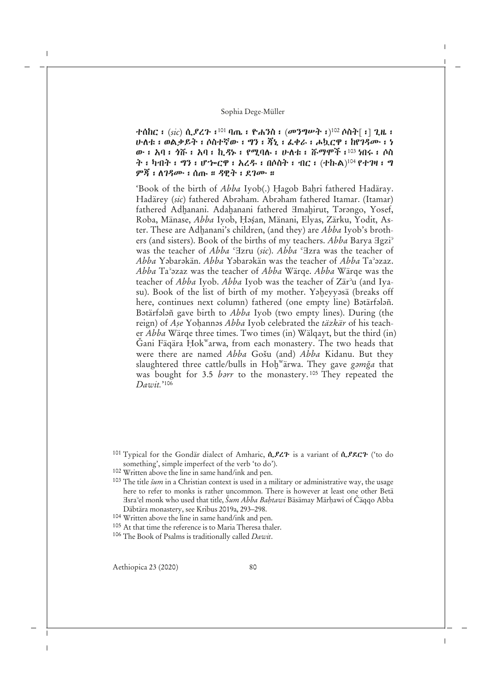ተሰከር ፡ (*sic*) ሲ*ያረጉ*፡ <sup>101</sup> ባጤ ፡ ዮሐንስ ፡ (መንግሥት ፡)<sup>102</sup> ሶስተ[ ፡] ጊዜ ፡ ሁለቱ፡ ወልቃይት፡ ሶስተኛው፡ ግን፡ ጃኒ፡ ፈቀራ፡ ሖኳርዋ፡ ከየገዳሙ፡ ነ ው፡ አባ፡ ጎሹ፡ አባ፡ ኪዳኑ፡ የሚባሉ፡ ሁለቱ፡ ሹማሞች፡<sup>103</sup> ነበሩ፡ ሶስ ት ፡ ካብት ፡ ግን ፡ ሆሎርዋ ፡ አረዱ ፡ በሶስት ፡ ብር ፡ (ተኩል)<sup>104</sup> የተገዛ ፡ ግ ምጃ፡ ለገዳሙ፡ ሰጡ። ዳዊት፡ ደገሙ።

'Book of the birth of *Abba* Iyob(.) Hagob Baḥri fathered Hadäray. Hadärey (sic) fathered Abraham. Abraham fathered Itamar. (Itamar) fathered Adhanani. Adahanani fathered *Hmahirut*, Tarango, Yosef, Roba, Mänase, *Abba* Iyob, Ḥǝṣ́an, Mänani, Elyas, Zärku, Yodit, Aster. These are Adḫanani's children, (and they) are *Abba* Iyob's brothers (and sisters). Book of the births of my teachers. *Abba* Barya <sup>H</sup>gzi<sup>°</sup> was the teacher of *Abba* °Izru (*sic*). *Abba* °Izra was the teacher of *Abba* Yǝbarǝkän. *Abba* Yǝbarǝkän was the teacher of *Abba* Taʾǝzaz. *Abba* Taʾǝzaz was the teacher of *Abba* Wärqe. *Abba* Wärqe was the teacher of *Abba* Iyob. *Abba* Iyob was the teacher of Zärʾu (and Iyasu). Book of the list of birth of my mother. Yaheyyasä (breaks off here, continues next column) fathered (one empty line) Batärfalañ. Bətärfələñ gave birth to *Abba* Iyob (two empty lines). During (the reign) of *Aṣe* Yoḥannǝs *Abba* Iyob celebrated the *täzkär* of his teacher *Abba* Wärqe three times. Two times (in) Wälqayt, but the third (in) Ğani Fäqära Ḥok<sup>w</sup>arwa, from each monastery. The two heads that were there are named *Abba* Gošu (and) *Abba* Kidanu. But they slaughtered three cattle/bulls in Hoḫ<sup>w</sup> ärwa. They gave *gǝmga* that was bought for 3.5 *barr* to the monastery.<sup>105</sup> They repeated the *Dawit.*' 106

<sup>106</sup> The Book of Psalms is traditionally called *Dawit*.

<sup>&</sup>lt;sup>101</sup> Typical for the Gondär dialect of Amharic,  $\hat{n}$ ,  $\hat{z}$  is a variant of  $\hat{n}$ ,  $\hat{z}$  $\hat{z}$  ('to do something', simple imperfect of the verb 'to do').

<sup>102</sup> Written above the line in same hand/ink and pen.

<sup>103</sup> The title *šum* in a Christian context is used in a military or administrative way, the usage here to refer to monks is rather uncommon. There is however at least one other Betä Ǝsraʾel monk who used that title, *Šum Abba Baḥtawi* Bäsämay Märḥawi of Čäqqo Abba Däbtära monastery, see Kribus 2019a, 293–298.

<sup>104</sup> Written above the line in same hand/ink and pen.

<sup>105</sup> At that time the reference is to Maria Theresa thaler.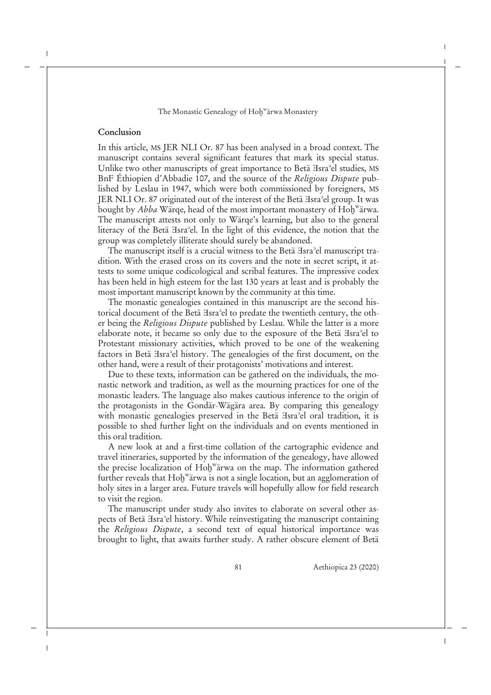## **Conclusion**

In this article, MS JER NLI Or. 87 has been analysed in a broad context. The manuscript contains several significant features that mark its special status. Unlike two other manuscripts of great importance to Betä Hsra<sup>3</sup>el studies, MS BnF Éthiopien d'Abbadie 107, and the source of the *Religious Dispute* published by Leslau in 1947, which were both commissioned by foreigners, MS JER NLI Or. 87 originated out of the interest of the Betä Hsra<sup>2</sup>el group. It was bought by *Abba* Wärqe, head of the most important monastery of Hoḫ<sup>w</sup>ärwa. The manuscript attests not only to Wärqe's learning, but also to the general literacy of the Betä  $\text{Isra}^{\circ}$ el. In the light of this evidence, the notion that the group was completely illiterate should surely be abandoned.

The manuscript itself is a crucial witness to the Betä Hsra<sup>3</sup>el manuscript tradition. With the erased cross on its covers and the note in secret script, it attests to some unique codicological and scribal features. The impressive codex has been held in high esteem for the last 130 years at least and is probably the most important manuscript known by the community at this time.

The monastic genealogies contained in this manuscript are the second historical document of the Betä  $\text{Isra}^{\circ}$ el to predate the twentieth century, the other being the *Religious Dispute* published by Leslau. While the latter is a more elaborate note, it became so only due to the exposure of the Betä Hsra<sup>3</sup>el to Protestant missionary activities, which proved to be one of the weakening factors in Betä Hsra<sup>2</sup>el history. The genealogies of the first document, on the other hand, were a result of their protagonists' motivations and interest.

Due to these texts, information can be gathered on the individuals, the monastic network and tradition, as well as the mourning practices for one of the monastic leaders. The language also makes cautious inference to the origin of the protagonists in the Gondär-Wägära area. By comparing this genealogy with monastic genealogies preserved in the Betä Hsra<sup>3</sup>el oral tradition, it is possible to shed further light on the individuals and on events mentioned in this oral tradition.

A new look at and a first-time collation of the cartographic evidence and travel itineraries, supported by the information of the genealogy, have allowed the precise localization of Hoḫ<sup>w</sup>ärwa on the map. The information gathered further reveals that  $\mathrm{Hol}^{\mathrm{w}}$ ärwa is not a single location, but an agglomeration of holy sites in a larger area. Future travels will hopefully allow for field research to visit the region.

The manuscript under study also invites to elaborate on several other aspects of Betä Hsra<sup>2</sup>el history. While reinvestigating the manuscript containing the *Religious Dispute*, a second text of equal historical importance was brought to light, that awaits further study. A rather obscure element of Betä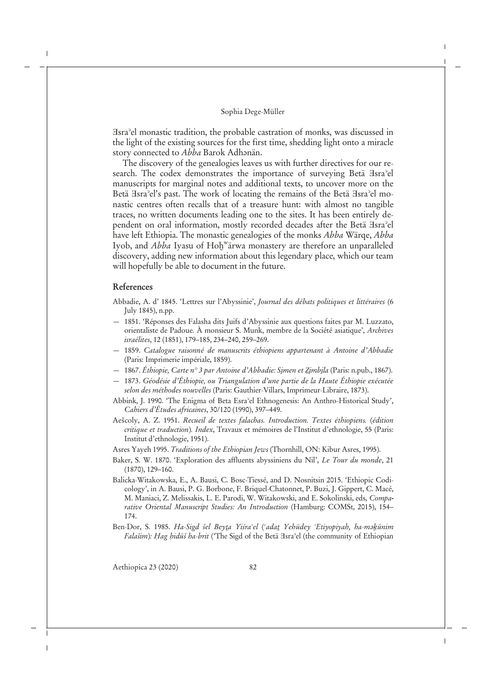Ǝsraʾel monastic tradition, the probable castration of monks, was discussed in the light of the existing sources for the first time, shedding light onto a miracle story connected to *Abba* Barok Adhanän.

The discovery of the genealogies leaves us with further directives for our research. The codex demonstrates the importance of surveying Betä Hsra<sup>2</sup>el manuscripts for marginal notes and additional texts, to uncover more on the Betä Isra<sup>3</sup>el's past. The work of locating the remains of the Betä Isra<sup>3</sup>el monastic centres often recalls that of a treasure hunt: with almost no tangible traces, no written documents leading one to the sites. It has been entirely dependent on oral information, mostly recorded decades after the Betä Isra<sup>3</sup>el have left Ethiopia. The monastic genealogies of the monks *Abba* Wärqe, *Abba* Iyob, and *Abba* Iyasu of Hoḫ<sup>w</sup>ärwa monastery are therefore an unparalleled discovery, adding new information about this legendary place, which our team will hopefully be able to document in the future.

## **References**

- Abbadie, A. d' 1845. 'Lettres sur l'Abyssinie', *Journal des débats politiques et littéraires* (6 July 1845), n.pp.
- 1851. 'Réponses des Falasha dits Juifs d'Abyssinie aux questions faites par M. Luzzato, orientaliste de Padoue. À monsieur S. Munk, membre de la Société asiatique', *Archives israélites*, 12 (1851), 179–185, 234–240, 259–269.
- 1859. *Catalogue raisonné de manuscrits éthiopiens appartenant à Antoine d'Abbadie* (Paris: Imprimerie impériale, 1859).
- 1867. *Éthiopie, Carte n° 3 par Antoine d'Abbadie: Si̱men et Ẕi̱mbi̱la* (Paris: n.pub., 1867).
- 1873. *Géodésie d'Éthiopie, ou Triangulation d'une partie de la Haute Éthiopie exécutée selon des méthodes nouvelles* (Paris: Gauthier-Villars, Imprimeur-Libraire, 1873).
- Abbink, J. 1990. 'The Enigma of Beta Esraʾel Ethnogenesis: An Anthro-Historical Study', *Cahiers d'Études africaines*, 30/120 (1990), 397–449.
- Aešcoly, A. Z. 1951. *Recueil de textes falachas. Introduction. Textes éthiopiens.* (*édition critique et traduction*)*. Index*, Travaux et mémoires de l'Institut d'ethnologie, 55 (Paris: Institut d'ethnologie, 1951).
- Asres Yayeh 1995. *Traditions of the Ethiopian Jews* (Thornhill, ON: Kibur Asres, 1995).
- Baker, S. W. 1870. 'Exploration des affluents abyssiniens du Nil', *Le Tour du monde*, 21 (1870), 129–160.
- Balicka-Witakowska, E., A. Bausi, C. Bosc-Tiessé, and D. Nosnitsin 2015. 'Ethiopic Codicology', in A. Bausi, P. G. Borbone, F. Briquel-Chatonnet, P. Buzi, J. Gippert, C. Macé, M. Maniaci, Z. Melissakis, L. E. Parodi, W. Witakowski, and E. Sokolinski, eds, *Comparative Oriental Manuscript Studies: An Introduction* (Hamburg: COMSt, 2015), 154– 174.
- Ben-Dor, S. 1985. *Ha*-*Sigd šel Beyṯa Yiśraʾel* (*ʿadaṯ Yehūdey ʾEtiyopiyah, ha*-*mǝḵūnim Falašim*)*: Ḥag ḥidūš ha*-*brit* ('The Sigd of the Betä Ǝsraʾel (the community of Ethiopian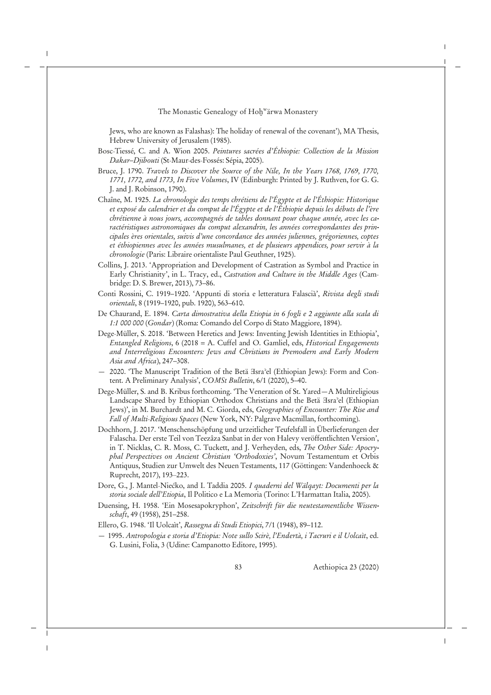Jews, who are known as Falashas): The holiday of renewal of the covenant'), MA Thesis, Hebrew University of Jerusalem (1985).

- Bosc-Tiessé, C. and A. Wion 2005. *Peintures sacrées d'Éthiopie: Collection de la Mission Dakar*–*Djibouti* (St-Maur-des-Fossés: Sépia, 2005).
- Bruce, J. 1790. *Travels to Discover the Source of the Nile, In the Years 1768, 1769, 1770, 1771, 1772, and 1773, In Five Volumes*, IV (Edinburgh: Printed by J. Ruthven, for G. G. J. and J. Robinson, 1790).
- Chaîne, M. 1925. *La chronologie des temps chrétiens de l'Égypte et de l'Éthiopie: Historique et exposé du calendrier et du comput de l'Égypte et de l'Éthiopie depuis les débuts de l'ère chrétienne à nous jours, accompagnés de tables donnant pour chaque année, avec les caractéristiques astronomiques du comput alexandrin, les années correspondantes des principales ères orientales, suivis d'une concordance des années juliennes, grégoriennes, coptes et éthiopiennes avec les années musulmanes, et de plusieurs appendices, pour servir à la chronologie* (Paris: Libraire orientaliste Paul Geuthner, 1925).
- Collins, J. 2013. 'Appropriation and Development of Castration as Symbol and Practice in Early Christianity', in L. Tracy, ed., *Castration and Culture in the Middle Ages* (Cambridge: D. S. Brewer, 2013), 73–86.
- Conti Rossini, C. 1919–1920. 'Appunti di storia e letteratura Falascià', *Rivista degli studi orientali*, 8 (1919–1920, pub. 1920), 563–610.
- De Chaurand, E. 1894. *Carta dimostrativa della Etiopia in 6 fogli e 2 aggiunte alla scala di 1:1 000 000* (*Gondar*) (Roma: Comando del Corpo di Stato Maggiore, 1894).
- Dege-Müller, S. 2018. 'Between Heretics and Jews: Inventing Jewish Identities in Ethiopia', *Entangled Religions*, 6 (2018 = A. Cuffel and O. Gamliel, eds, *Historical Engagements and Interreligious Encounters: Jews and Christians in Premodern and Early Modern Asia and Africa*), 247–308.
- 2020. 'The Manuscript Tradition of the Betä Isra'el (Ethiopian Jews): Form and Content. A Preliminary Analysis', *COMSt Bulletin*, 6/1 (2020), 5–40.
- Dege-Müller, S. and B. Kribus forthcoming. 'The Veneration of St. Yared—A Multireligious Landscape Shared by Ethiopian Orthodox Christians and the Betä *Asra*<sup>2</sup>el (Ethiopian Jews)', in M. Burchardt and M. C. Giorda, eds, *Geographies of Encounter: The Rise and Fall of Multi*-*Religious Spaces* (New York, NY: Palgrave Macmillan, forthcoming).
- Dochhorn, J. 2017. 'Menschenschöpfung und urzeitlicher Teufelsfall in Überlieferungen der Falascha. Der erste Teil von Teezâza Sanbat in der von Halevy veröffentlichten Version', in T. Nicklas, C. R. Moss, C. Tuckett, and J. Verheyden, eds, *The Other Side: Apocryphal Perspectives on Ancient Christian 'Orthodoxies'*, Novum Testamentum et Orbis Antiquus, Studien zur Umwelt des Neuen Testaments, 117 (Göttingen: Vandenhoeck & Ruprecht, 2017), 193‒223.
- Dore, G., J. Mantel-Niećko, and I. Taddia 2005. *I quaderni del Wälqayt: Documenti per la storia sociale dell'Etiopia*, Il Politico e La Memoria (Torino: L'Harmattan Italia, 2005).
- Duensing, H. 1958. 'Ein Mosesapokryphon', *Zeitschrift für die neutestamentliche Wissenschaft*, 49 (1958), 251–258.
- Ellero, G. 1948. 'Il Uolcaìt', *Rassegna di Studi Etiopici*, 7/1 (1948), 89–112.
- 1995. *Antropologia e storia d'Etiopia: Note sullo Scirè, l'Endertà, i Tacruri e il Uolcaìt*, ed. G. Lusini, Folia, 3 (Udine: Campanotto Editore, 1995).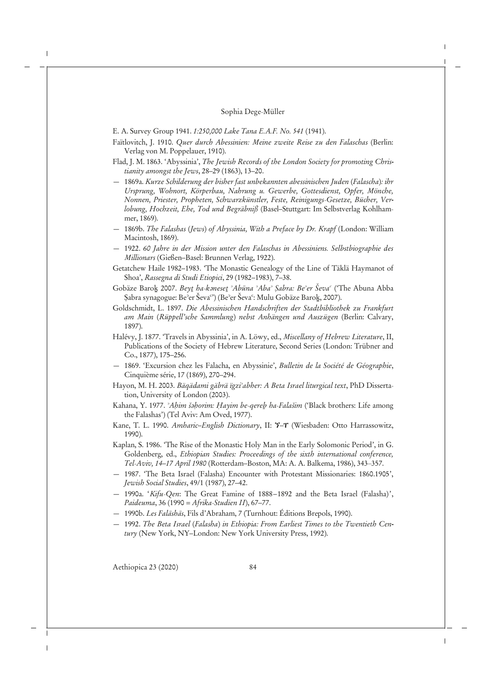E. A. Survey Group 1941. *1:250,000 Lake Tana E.A.F. No. 541* (1941).

- Faïtlovitch, J. 1910. *Quer durch Abessinien: Meine zweite Reise zu den Falaschas* (Berlin: Verlag von M. Poppelauer, 1910).
- Flad, J. M. 1863. 'Abyssinia', *The Jewish Records of the London Society for promoting Christianity amongst the Jews*, 28–29 (1863), 13–20.
- 1869a. *Kurze Schilderung der bisher fast unbekannten abessinischen Juden* (*Falascha*)*: ihr Ursprung, Wohnort, Körperbau, Nahrung u. Gewerbe, Gottesdienst, Opfer, Mönche, Nonnen, Priester, Propheten, Schwarzkünstler, Feste, Reinigungs*-*Gesetze, Bücher, Verlobung, Hochzeit, Ehe, Tod und Begräbniß* (Basel–Stuttgart: Im Selbstverlag Kohlhammer, 1869).
- 1869b. *The Falashas* (*Jews*) *of Abyssinia, With a Preface by Dr. Krapf* (London: William Macintosh, 1869).
- 1922. *60 Jahre in der Mission unter den Falaschas in Abessiniens. Selbstbiographie des Millionars* (Gießen–Basel: Brunnen Verlag, 1922).
- Getatchew Haile 1982–1983. 'The Monastic Genealogy of the Line of Täklä Haymanot of Shoa', *Rassegna di Studi Etiopici*, 29 (1982–1983), 7–38.
- Gobäze Baroḵ 2007. *Beyṯ ha*-*kǝneseṯ ʾAbūna ʾAbaʾ Ṣabra: Beʾer Ševaʿ* ('The Abuna Abba Şabra synagogue: Be<sup>3</sup>er Ševa<sup>c</sup>) (Be<sup>3</sup>er Ševa<sup>c</sup>: Mulu Gobäze Baro<u>k,</u> 2007).
- Goldschmidt, L. 1897. *Die Abessinischen Handschriften der Stadtbibliothek zu Frankfurt am Main* (*Rüppell'sche Sammlung*) *nebst Anhängen und Auszügen* (Berlin: Calvary, 1897).
- Halévy, J. 1877. 'Travels in Abyssinia', in A. Löwy, ed., *Miscellany of Hebrew Literature*, II, Publications of the Society of Hebrew Literature, Second Series (London: Trübner and Co., 1877), 175–256.
- 1869. 'Excursion chez les Falacha, en Abyssinie', *Bulletin de la Société de Géographie*, Cinquième série, 17 (1869), 270–294.
- Hayon, M. H. 2003. *Bäqädami gäbrä ïgziʾabher: A Beta Israel liturgical text*, PhD Dissertation, University of London (2003).
- Kahana, Y. 1977. *ʾAḥim šǝḥorim: Ḥayim be*-*qereḇ ha*-*Falašim* ('Black brothers: Life among the Falashas') (Tel Aviv: Am Oved, 1977).
- Kane, T. L. 1990. *Amharic–English Dictionary*, II: ኘ*–*ፐ (Wiesbaden: Otto Harrassowitz, 1990).
- Kaplan, S. 1986. 'The Rise of the Monastic Holy Man in the Early Solomonic Period', in G. Goldenberg, ed., *Ethiopian Studies: Proceedings of the sixth international conference, Tel*-*Aviv, 14–17 April 1980* (Rotterdam–Boston, MA: A. A. Balkema, 1986), 343‒357.
- 1987. 'The Beta Israel (Falasha) Encounter with Protestant Missionaries: 1860.1905', *Jewish Social Studies*, 49/1 (1987), 27–42.
- 1990a. '*Kifu*-*Qen*: The Great Famine of 1888–1892 and the Beta Israel (Falasha)', *Paideuma*, 36 (1990 = *Afrika*-*Studien II*), 67–77.
- 1990b. *Les Falāshās*, Fils d'Abraham, 7 (Turnhout: Éditions Brepols, 1990).
- 1992. *The Beta Israel* (*Falasha*) *in Ethiopia: From Earliest Times to the Twentieth Century* (New York, NY–London: New York University Press, 1992).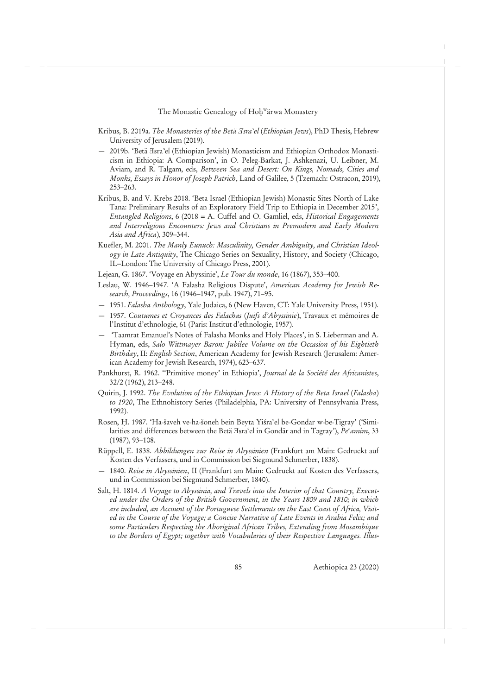The Monastic Genealogy of Hoḫʷärwa Monastery

- Kribus, B. 2019a. *The Monasteries of the Betä Ǝsraʾel* (*Ethiopian Jews*), PhD Thesis, Hebrew University of Jerusalem (2019).
- 2019b. 'Betä Ǝsraʾel (Ethiopian Jewish) Monasticism and Ethiopian Orthodox Monasticism in Ethiopia: A Comparison', in O. Peleg-Barkat, J. Ashkenazi, U. Leibner, M. Aviam, and R. Talgam, eds, *Between Sea and Desert: On Kings, Nomads, Cities and Monks, Essays in Honor of Joseph Patrich*, Land of Galilee, 5 (Tzemach: Ostracon, 2019), 253–263.
- Kribus, B. and V. Krebs 2018. 'Beta Israel (Ethiopian Jewish) Monastic Sites North of Lake Tana: Preliminary Results of an Exploratory Field Trip to Ethiopia in December 2015', *Entangled Religions*, 6 (2018 = A. Cuffel and O. Gamliel, eds, *Historical Engagements and Interreligious Encounters: Jews and Christians in Premodern and Early Modern Asia and Africa*), 309–344.
- Kuefler, M. 2001. *The Manly Eunuch: Masculinity, Gender Ambiguity, and Christian Ideology in Late Antiquity*, The Chicago Series on Sexuality, History, and Society (Chicago, IL–London: The University of Chicago Press, 2001).
- Lejean, G. 1867. 'Voyage en Abyssinie', *Le Tour du monde*, 16 (1867), 353–400.
- Leslau, W. 1946–1947. 'A Falasha Religious Dispute', *American Academy for Jewish Research, Proceedings*, 16 (1946–1947, pub. 1947), 71–95.
- 1951. *Falasha Anthology*, Yale Judaica, 6 (New Haven, CT: Yale University Press, 1951).
- 1957. *Coutumes et Croyances des Falachas* (*Juifs d'Abyssinie*), Travaux et mémoires de l'Institut d'ethnologie, 61 (Paris: Institut d'ethnologie, 1957).
- 'Taamrat Emanuel's Notes of Falasha Monks and Holy Places', in S. Lieberman and A. Hyman, eds, *Salo Wittmayer Baron: Jubilee Volume on the Occasion of his Eightieth Birthday*, II: *English Section*, American Academy for Jewish Research (Jerusalem: American Academy for Jewish Research, 1974), 623–637.
- Pankhurst, R. 1962. ''Primitive money' in Ethiopia', *Journal de la Société des Africanistes*, 32/2 (1962), 213–248.
- Quirin, J. 1992. *The Evolution of the Ethiopian Jews: A History of the Beta Israel* (*Falasha*) *to 1920*, The Ethnohistory Series (Philadelphia, PA: University of Pennsylvania Press, 1992).
- Rosen, Ḥ. 1987. 'Ha-šaveh ve-ha-šoneh bein Beyta Yiśraʾel be-Gondar w-be-Tigray' ('Similarities and differences between the Betä Ǝsraʾel in Gondär and in Tǝgray'), *Peʿamim*, 33 (1987), 93–108.
- Rüppell, E. 1838. *Abbildungen zur Reise in Abyssinien* (Frankfurt am Main: Gedruckt auf Kosten des Verfassers, und in Commission bei Siegmund Schmerber, 1838).
- 1840. *Reise in Abyssinien*, II (Frankfurt am Main: Gedruckt auf Kosten des Verfassers, und in Commission bei Siegmund Schmerber, 1840).
- Salt, H. 1814. *A Voyage to Abyssinia, and Travels into the Interior of that Country, Executed under the Orders of the British Government, in the Years 1809 and 1810; in which are included, an Account of the Portuguese Settlements on the East Coast of Africa, Visited in the Course of the Voyage; a Concise Narrative of Late Events in Arabia Felix; and some Particulars Respecting the Aboriginal African Tribes, Extending from Mosambique to the Borders of Egypt; together with Vocabularies of their Respective Languages. Illus-*